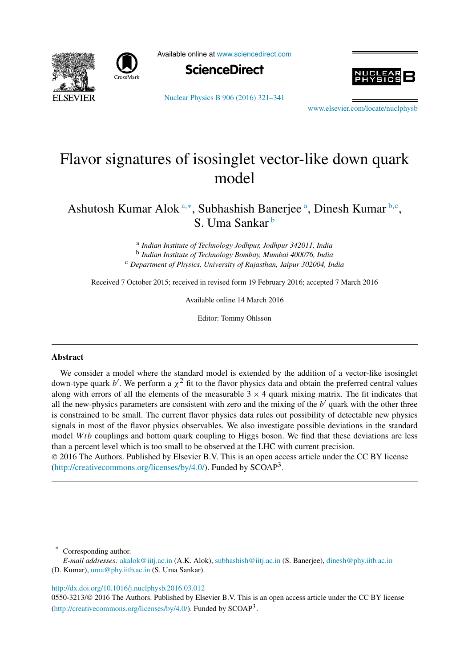



Available online at www.sciencedirect.com





Nuclear Physics B 906 (2016) 321–341

www.elsevier.com/locate/nuclphysb

# Flavor signatures of isosinglet vector-like down quark model

Ashutosh Kumar Alok a<sup>\*</sup>, Subhashish Banerjee <sup>a</sup>, Dinesh Kumar <sup>b, c</sup>, S. Uma Sankar <sup>b</sup>

> a *Indian Institute of Technology Jodhpur, Jodhpur 342011, India* b *Indian Institute of Technology Bombay, Mumbai 400076, India* <sup>c</sup> *Department of Physics, University of Rajasthan, Jaipur 302004, India*

Received 7 October 2015; received in revised form 19 February 2016; accepted 7 March 2016

Available online 14 March 2016

Editor: Tommy Ohlsson

#### **Abstract**

We consider a model where the standard model is extended by the addition of a vector-like isosinglet down-type quark b'. We perform a  $\chi^2$  fit to the flavor physics data and obtain the preferred central values along with errors of all the elements of the measurable  $3 \times 4$  quark mixing matrix. The fit indicates that all the new-physics parameters are consistent with zero and the mixing of the  $b'$  quark with the other three is constrained to be small. The current flavor physics data rules out possibility of detectable new physics signals in most of the flavor physics observables. We also investigate possible deviations in the standard model Wtb couplings and bottom quark coupling to Higgs boson. We find that these deviations are less than a percent level which is too small to be observed at the LHC with current precision.

 2016 The Authors. Published by Elsevier B.V. This is an open access article under the CC BY license (http://creativecommons.org/licenses/by/4.0/). Funded by  $SCOAP<sup>3</sup>$ .

Corresponding author.

http://dx.doi.org/10.1016/j.nuclphysb.2016.03.012

0550-3213/© 2016 The Authors. Published by Elsevier B.V. This is an open access article under the CC BY license (http://creativecommons.org/licenses/by/4.0/). Funded by  $SCOAP<sup>3</sup>$ .

*E-mail addresses:* akalok@iitj.ac.in (A.K. Alok), subhashish@iitj.ac.in (S. Banerjee), dinesh@phy.iitb.ac.in

<sup>(</sup>D. Kumar), uma@phy.iitb.ac.in (S. Uma Sankar).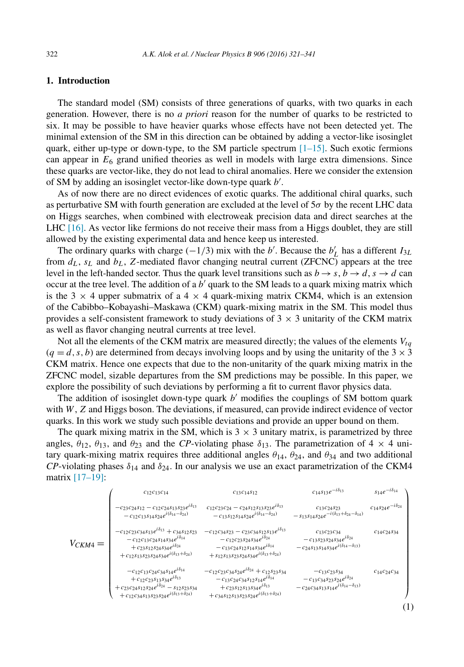### **1. Introduction**

The standard model (SM) consists of three generations of quarks, with two quarks in each generation. However, there is no *a priori* reason for the number of quarks to be restricted to six. It may be possible to have heavier quarks whose effects have not been detected yet. The minimal extension of the SM in this direction can be obtained by adding a vector-like isosinglet quark, either up-type or down-type, to the SM particle spectrum  $[1–15]$ . Such exotic fermions can appear in  $E_6$  grand unified theories as well in models with large extra dimensions. Since these quarks are vector-like, they do not lead to chiral anomalies. Here we consider the extension of SM by adding an isosinglet vector-like down-type quark  $b'$ .

As of now there are no direct evidences of exotic quarks. The additional chiral quarks, such as perturbative SM with fourth generation are excluded at the level of  $5\sigma$  by the recent LHC data on Higgs searches, when combined with electroweak precision data and direct searches at the LHC [16]. As vector like fermions do not receive their mass from a Higgs doublet, they are still allowed by the existing experimental data and hence keep us interested.

The ordinary quarks with charge  $\left(\frac{-1}{3}\right)$  mix with the b'. Because the  $b'_{L}$  has a different  $I_{3L}$ from  $d_L$ ,  $s_L$  and  $b_L$ , Z-mediated flavor changing neutral current (ZFCNC) appears at the tree level in the left-handed sector. Thus the quark level transitions such as  $b \rightarrow s$ ,  $b \rightarrow d$ ,  $s \rightarrow d$  can occur at the tree level. The addition of a  $b'$  quark to the SM leads to a quark mixing matrix which is the 3  $\times$  4 upper submatrix of a 4  $\times$  4 quark-mixing matrix CKM4, which is an extension of the Cabibbo–Kobayashi–Maskawa (CKM) quark-mixing matrix in the SM. This model thus provides a self-consistent framework to study deviations of  $3 \times 3$  unitarity of the CKM matrix as well as flavor changing neutral currents at tree level.

Not all the elements of the CKM matrix are measured directly; the values of the elements  $V_{tq}$  $(q = d, s, b)$  are determined from decays involving loops and by using the unitarity of the  $3 \times 3$ CKM matrix. Hence one expects that due to the non-unitarity of the quark mixing matrix in the ZFCNC model, sizable departures from the SM predictions may be possible. In this paper, we explore the possibility of such deviations by performing a fit to current flavor physics data.

The addition of isosinglet down-type quark  $b'$  modifies the couplings of SM bottom quark with  $W$ ,  $Z$  and Higgs boson. The deviations, if measured, can provide indirect evidence of vector quarks. In this work we study such possible deviations and provide an upper bound on them.

The quark mixing matrix in the SM, which is  $3 \times 3$  unitary matrix, is parametrized by three angles,  $\theta_{12}$ ,  $\theta_{13}$ , and  $\theta_{23}$  and the *CP*-violating phase  $\delta_{13}$ . The parametrization of 4  $\times$  4 unitary quark-mixing matrix requires three additional angles  $\theta_{14}$ ,  $\theta_{24}$ , and  $\theta_{34}$  and two additional *CP*-violating phases  $\delta_{14}$  and  $\delta_{24}$ . In our analysis we use an exact parametrization of the CKM4 matrix [17–19]:

$$
V_{CKM4} = \n\begin{pmatrix}\nc_{12}c_{13}c_{14} & c_{13}c_{14512} & c_{14513}e^{-i\delta_{13}} & s_{14}e^{-i\delta_{14}} \\
-c_{23}c_{24}s_{12} - c_{12}c_{24}s_{13}s_{23}e^{i\delta_{13}} & c_{12}c_{23}c_{24} - c_{24}s_{12}s_{13}s_{23}e^{i\delta_{13}} & c_{13}c_{24}s_{23} & c_{14}s_{24}e^{-i\delta_{24}} \\
-c_{12}c_{13}s_{14}s_{24}e^{i(\delta_{14}-\delta_{24})} & -c_{13}s_{12}s_{14}s_{24}e^{i(\delta_{14}-\delta_{24})} & -s_{13}s_{14}s_{24}e^{-i(\delta_{13}+\delta_{24}-\delta_{14})} & c_{14}c_{24}s_{24} \\
-c_{12}c_{13}c_{24}s_{14}s_{34}e^{i\delta_{14}} & -c_{12}c_{23}s_{24}s_{14}s_{24}e^{i\delta_{14}} & -c_{12}c_{23}s_{24}s_{14}s_{24}e^{-i(\delta_{13}+\delta_{24}-\delta_{14})} & c_{14}c_{24}s_{34} \\
+c_{23}s_{12}s_{24}s_{34}e^{i\delta_{14}} & -c_{12}c_{23}s_{24}s_{34}e^{i\delta_{14}} & -c_{13}c_{24}s_{12}s_{14}s_{34}e^{i\delta_{14}} & -c_{24}s_{13}s_{14}s_{34}e^{i(\delta_{14}-\delta_{13})} \\
+c_{12}s_{13}s_{23}s_{24}s_{34}e^{i\delta_{14}} & -c_{12}c_{23}c_{34}s_{24}e^{i\delta_{14}} & -c_{12}c_{23}s_{34}s_{44}e^{i(\delta_{14}-\delta_{13})} & c_{14}c_{24}s_{34} \\
+c_{12}s_{13}s_{23}s_{24}s_{14}e^{i\delta_{14}} & -c_{
$$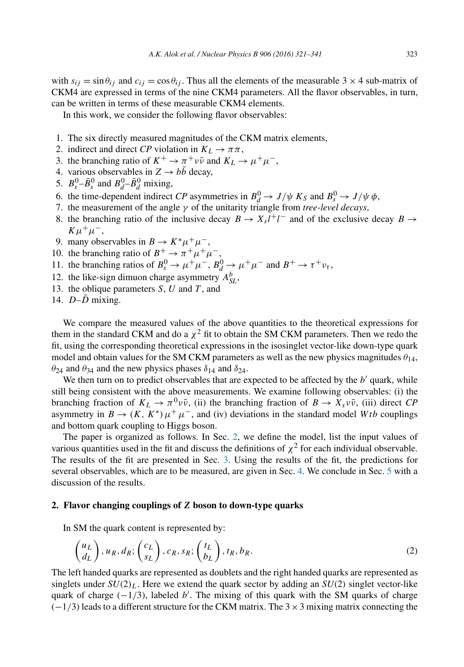with  $s_{ij} = \sin \theta_{ij}$  and  $c_{ij} = \cos \theta_{ij}$ . Thus all the elements of the measurable 3 × 4 sub-matrix of CKM4 are expressed in terms of the nine CKM4 parameters. All the flavor observables, in turn, can be written in terms of these measurable CKM4 elements.

In this work, we consider the following flavor observables:

- 1. The six directly measured magnitudes of the CKM matrix elements,
- 2. indirect and direct *CP* violation in  $K_L \rightarrow \pi \pi$ ,
- 3. the branching ratio of  $K^+ \to \pi^+ \nu \bar{\nu}$  and  $K_L \to \mu^+ \mu^-$ ,
- 4. various observables in  $Z \rightarrow b\bar{b}$  decay,
- 5.  $B_s^0$ - $\bar{B}_s^0$  and  $B_d^0$ - $\bar{B}_d^0$  mixing,
- 6. the time-dependent indirect *CP* asymmetries in  $B_d^0 \rightarrow J/\psi K_S$  and  $B_s^0 \rightarrow J/\psi \phi$ ,
- 7. the measurement of the angle γ of the unitarity triangle from *tree-level decays*,
- 8. the branching ratio of the inclusive decay  $B \to X_s l^+ l^-$  and of the exclusive decay  $B \to \infty$  $K\mu^+\mu^-,$
- 9. many observables in  $B \to K^* \mu^+ \mu^-$ ,
- 10. the branching ratio of  $B^+ \to \pi^+ \mu^+ \mu^-$ ,  $t^+ \to \pi$
- 11. the branching ratios of  $B_s^0 \to \mu^+ \mu^-$ ,  $B_d^0 \to \mu^+ \mu^-$  and  $B^+ \to \tau^+ \nu_{\tau}$ ,
- 12. the like-sign dimuon charge asymmetry  $A_{SL}^b$ ,
- 13. the oblique parameters  $S, U$  and  $T$ , and
- 14.  $D-D$  mixing.

We compare the measured values of the above quantities to the theoretical expressions for them in the standard CKM and do a  $\chi^2$  fit to obtain the SM CKM parameters. Then we redo the fit, using the corresponding theoretical expressions in the isosinglet vector-like down-type quark model and obtain values for the SM CKM parameters as well as the new physics magnitudes  $\theta_{14}$ ,  $\theta_{24}$  and  $\theta_{34}$  and the new physics phases  $\delta_{14}$  and  $\delta_{24}$ .

We then turn on to predict observables that are expected to be affected by the  $b'$  quark, while still being consistent with the above measurements. We examine following observables: (i) the branching fraction of  $K_L \to \pi^0 \nu \bar{\nu}$ , (ii) the branching fraction of  $B \to X_s \nu \bar{\nu}$ , (iii) direct *CP* asymmetry in  $B \to (K, K^*) \mu^+ \mu^-$ , and (iv) deviations in the standard model Wtb couplings and bottom quark coupling to Higgs boson.

The paper is organized as follows. In Sec. 2, we define the model, list the input values of various quantities used in the fit and discuss the definitions of  $\chi^2$  for each individual observable. The results of the fit are presented in Sec. 3. Using the results of the fit, the predictions for several observables, which are to be measured, are given in Sec. 4. We conclude in Sec. 5 with a discussion of the results.

#### **2. Flavor changing couplings of** Z **boson to down-type quarks**

In SM the quark content is represented by:

$$
\begin{pmatrix} u_L \\ d_L \end{pmatrix}, u_R, d_R; \begin{pmatrix} c_L \\ s_L \end{pmatrix}, c_R, s_R; \begin{pmatrix} t_L \\ b_L \end{pmatrix}, t_R, b_R. \tag{2}
$$

The left handed quarks are represented as doublets and the right handed quarks are represented as singlets under  $SU(2)_L$ . Here we extend the quark sector by adding an  $SU(2)$  singlet vector-like quark of charge  $(-1/3)$ , labeled b'. The mixing of this quark with the SM quarks of charge  $(-1/3)$  leads to a different structure for the CKM matrix. The 3 × 3 mixing matrix connecting the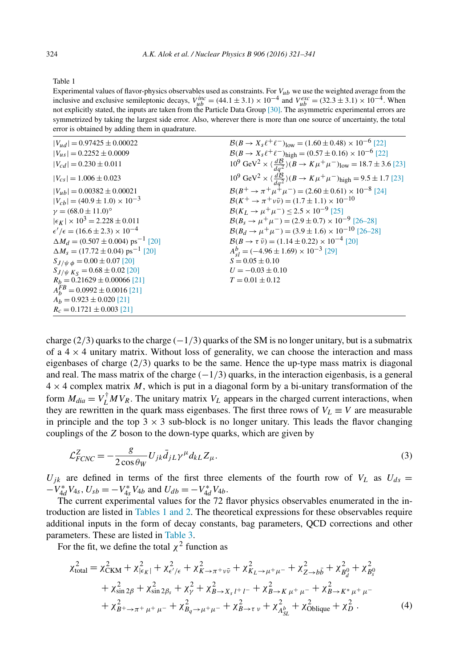Table 1

Experimental values of flavor-physics observables used as constraints. For  $V_{ub}$  we use the weighted average from the inclusive and exclusive semileptonic decays,  $V_{\mu b}^{\mu c} = (44.1 \pm 3.1) \times 10^{-4}$  and  $V_{\mu b}^{\text{exc}} = (32.3 \pm 3.1) \times 10^{-4}$ . When not explicitly stated, the inputs are taken from the Particle Data Group [30]. The asymmetric experimental errors are symmetrized by taking the largest side error. Also, wherever there is more than one source of uncertainty, the total error is obtained by adding them in quadrature.

| $ V_{ud}  = 0.97425 \pm 0.00022$                       | $\mathcal{B}(B \to X_s \ell^+ \ell^-)_{\text{low}} = (1.60 \pm 0.48) \times 10^{-6}$ [22]                              |
|--------------------------------------------------------|------------------------------------------------------------------------------------------------------------------------|
| $ V_{us}  = 0.2252 \pm 0.0009$                         | $\mathcal{B}(B \to X_s \ell^+ \ell^-)_{\text{high}} = (0.57 \pm 0.16) \times 10^{-6}$ [22]                             |
| $ V_{cd}  = 0.230 \pm 0.011$                           | $10^9 \text{ GeV}^2 \times \left(\frac{d\mathcal{B}}{da^2}\right)(B \to K\mu^+\mu^-)_{\text{low}} = 18.7 \pm 3.6$ [23] |
| $ V_{cs}  = 1.006 \pm 0.023$                           | $10^9 \text{ GeV}^2 \times \langle \frac{dB}{da^2} \rangle (B \to K \mu^+ \mu^-)_{\text{high}} = 9.5 \pm 1.7$ [23]     |
| $ V_{uh}  = 0.00382 \pm 0.00021$                       | $\mathcal{B}(B^+ \to \pi^+ \mu^+ \mu^-) = (2.60 \pm 0.61) \times 10^{-8}$ [24]                                         |
| $ V_{ch}  = (40.9 \pm 1.0) \times 10^{-3}$             | $\mathcal{B}(K^+ \to \pi^+ \nu \bar{\nu}) = (1.7 \pm 1.1) \times 10^{-10}$                                             |
| $v = (68.0 \pm 11.0)^{\circ}$                          | $B(K_I \rightarrow \mu^+ \mu^-)$ < 2.5 × 10 <sup>-9</sup> [25]                                                         |
| $ \epsilon_F  \times 10^3 = 2.228 \pm 0.011$           | $\mathcal{B}(B_s \to \mu^+ \mu^-) = (2.9 \pm 0.7) \times 10^{-9}$ [26–28]                                              |
| $\epsilon'/\epsilon = (16.6 \pm 2.3) \times 10^{-4}$   | $\mathcal{B}(B_d \to \mu^+ \mu^-) = (3.9 \pm 1.6) \times 10^{-10}$ [26-28]                                             |
| $\Delta M_d = (0.507 \pm 0.004)$ ps <sup>-1</sup> [20] | $\mathcal{B}(B \to \tau \bar{\nu}) = (1.14 \pm 0.22) \times 10^{-4}$ [20]                                              |
| $\Delta M_s = (17.72 \pm 0.04) \text{ ps}^{-1}$ [20]   | $A_{sl}^{b} = (-4.96 \pm 1.69) \times 10^{-3}$ [29]                                                                    |
| $S_{J/\psi \phi} = 0.00 \pm 0.07$ [20]                 | $S = 0.05 \pm 0.10$                                                                                                    |
| $S_{J/\psi K_S} = 0.68 \pm 0.02$ [20]                  | $U = -0.03 \pm 0.10$                                                                                                   |
| $R_h = 0.21629 \pm 0.00066$ [21]                       | $T = 0.01 \pm 0.12$                                                                                                    |
| $A_k^{FB} = 0.0992 \pm 0.0016$ [21]                    |                                                                                                                        |
| $A_h = 0.923 \pm 0.020$ [21]                           |                                                                                                                        |
| $R_c = 0.1721 \pm 0.003$ [21]                          |                                                                                                                        |

charge (2/3) quarks to the charge  $(-1/3)$  quarks of the SM is no longer unitary, but is a submatrix of a  $4 \times 4$  unitary matrix. Without loss of generality, we can choose the interaction and mass eigenbases of charge  $(2/3)$  quarks to be the same. Hence the up-type mass matrix is diagonal and real. The mass matrix of the charge  $(-1/3)$  quarks, in the interaction eigenbasis, is a general  $4 \times 4$  complex matrix M, which is put in a diagonal form by a bi-unitary transformation of the form  $M_{dia} = V_L^{\dagger} M V_R$ . The unitary matrix  $V_L$  appears in the charged current interactions, when they are rewritten in the quark mass eigenbases. The first three rows of  $V_L \equiv V$  are measurable in principle and the top  $3 \times 3$  sub-block is no longer unitary. This leads the flavor changing couplings of the Z boson to the down-type quarks, which are given by

$$
\mathcal{L}_{FCNC}^Z = -\frac{g}{2\cos\theta_W} U_{jk} \bar{d}_{jL} \gamma^\mu d_{kL} Z_\mu.
$$
\n(3)

 $U_{ik}$  are defined in terms of the first three elements of the fourth row of  $V_L$  as  $U_{ds} =$  $-V_{4d}^* V_{4s}$ ,  $U_{sb} = -V_{4s}^* V_{4b}$  and  $U_{db} = -V_{4d}^* V_{4b}$ .

The current experimental values for the 72 flavor physics observables enumerated in the introduction are listed in Tables 1 and 2. The theoretical expressions for these observables require additional inputs in the form of decay constants, bag parameters, QCD corrections and other parameters. These are listed in Table 3.

For the fit, we define the total  $\chi^2$  function as

$$
\chi_{\text{total}}^{2} = \chi_{\text{CKM}}^{2} + \chi_{|\epsilon_{K}|}^{2} + \chi_{\epsilon'/\epsilon}^{2} + \chi_{K \to \pi^{+}\nu\bar{\nu}}^{2} + \chi_{K_{L} \to \mu^{+}\mu^{-}}^{2} + \chi_{Z \to b\bar{b}}^{2} + \chi_{B_{d}}^{2} + \chi_{B_{g}}^{2} + \chi_{B_{g}}^{2} + \chi_{\sin 2\beta}^{2} + \chi_{\sin 2\beta_{s}}^{2} + \chi_{\gamma}^{2} + \chi_{B \to X_{s}l^{+}l^{-}}^{2} + \chi_{B \to K\mu^{+}\mu^{-}}^{2} + \chi_{B \to \pi^{+}\mu^{+}\mu^{-}}^{2} + \chi_{B_{g} \to \mu^{+}\mu^{-}}^{2} + \chi_{B_{g} \to \mu^{+}\mu^{-}}^{2} + \chi_{B \to \tau}^{2} + \chi_{B \to \tau}^{2} + \chi_{B_{s}l}^{2} + \chi_{\text{Oblique}}^{2} + \chi_{D}^{2}.
$$
\n(4)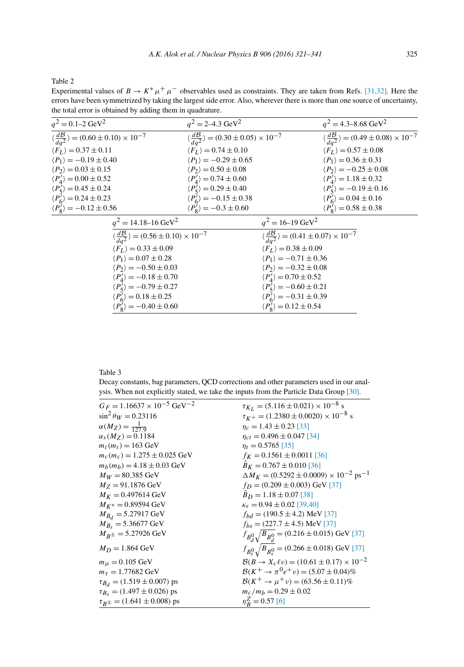Table 2

Experimental values of  $B \to K^* \mu^+ \mu^-$  observables used as constraints. They are taken from Refs. [31,32]. Here the errors have been symmetrized by taking the largest side error. Also, wherever there is more than one source of uncertainty, the total error is obtained by adding them in quadrature.

| $q^2 = 0.1 - 2 \text{ GeV}^2$                                      | $q^2 = 2 - 4.3 \text{ GeV}^2$                                      | $q^2 = 4.3 - 8.68 \text{ GeV}^2$                                   |
|--------------------------------------------------------------------|--------------------------------------------------------------------|--------------------------------------------------------------------|
| $\langle \frac{dB}{da^2} \rangle = (0.60 \pm 0.10) \times 10^{-7}$ | $\langle \frac{dB}{da^2} \rangle = (0.30 \pm 0.05) \times 10^{-7}$ | $\langle \frac{dB}{da^2} \rangle = (0.49 \pm 0.08) \times 10^{-7}$ |
| $\langle F_L \rangle = 0.37 \pm 0.11$                              | $\langle F_L \rangle = 0.74 \pm 0.10$                              | $\langle F_L \rangle = 0.57 \pm 0.08$                              |
| $\langle P_1 \rangle = -0.19 \pm 0.40$                             | $\langle P_1 \rangle = -0.29 \pm 0.65$                             | $\langle P_1 \rangle = 0.36 \pm 0.31$                              |
| $\langle P_2 \rangle = 0.03 \pm 0.15$                              | $\langle P_2 \rangle = 0.50 \pm 0.08$                              | $\langle P_2 \rangle = -0.25 \pm 0.08$                             |
| $\langle P_4' \rangle = 0.00 \pm 0.52$                             | $\langle P_4' \rangle = 0.74 \pm 0.60$                             | $\langle P'_4 \rangle = 1.18 \pm 0.32$                             |
| $\langle P'_5 \rangle = 0.45 \pm 0.24$                             | $\langle P'_5 \rangle = 0.29 \pm 0.40$                             | $\langle P'_5 \rangle = -0.19 \pm 0.16$                            |
| $\langle P'_6 \rangle = 0.24 \pm 0.23$                             | $\langle P_6' \rangle = -0.15 \pm 0.38$                            | $\langle P'_6 \rangle = 0.04 \pm 0.16$                             |
| $\langle P'_8 \rangle = -0.12 \pm 0.56$                            | $\langle P'_8 \rangle = -0.3 \pm 0.60$                             | $\langle P'_8 \rangle = 0.58 \pm 0.38$                             |
| $q^2 = 14.18 - 16 \text{ GeV}^2$                                   |                                                                    | $q^2 = 16 - 19 \text{ GeV}^2$                                      |
| $\langle \frac{dB}{da^2} \rangle = (0.56 \pm 0.10) \times 10^{-7}$ |                                                                    | $\langle \frac{dD}{da^2} \rangle = (0.41 \pm 0.07) \times 10^{-7}$ |
| $\langle F_I \rangle = 0.33 \pm 0.09$                              |                                                                    | $\langle F_L \rangle = 0.38 \pm 0.09$                              |
| $\langle P_1 \rangle = 0.07 \pm 0.28$                              |                                                                    | $\langle P_1 \rangle = -0.71 \pm 0.36$                             |
| $\langle P_2 \rangle = -0.50 \pm 0.03$                             |                                                                    | $\langle P_2 \rangle = -0.32 \pm 0.08$                             |
| $\langle P_4' \rangle = -0.18 \pm 0.70$                            |                                                                    | $\langle P_4' \rangle = 0.70 \pm 0.52$                             |
| $\langle P'_5 \rangle = -0.79 \pm 0.27$                            |                                                                    | $\langle P'_5 \rangle = -0.60 \pm 0.21$                            |
| $\langle P_6' \rangle = 0.18 \pm 0.25$                             |                                                                    | $\langle P_6' \rangle = -0.31 \pm 0.39$                            |
| $\langle P'_{\rm s} \rangle = -0.40 \pm 0.60$                      |                                                                    | $\langle P'_8 \rangle = 0.12 \pm 0.54$                             |

Table 3

Decay constants, bag parameters, QCD corrections and other parameters used in our analysis. When not explicitly stated, we take the inputs from the Particle Data Group [30].

| $G_F = 1.16637 \times 10^{-5}$ GeV <sup>-2</sup> | $\tau_{K_L}$ = (5.116 ± 0.021) × 10 <sup>-8</sup> s                 |
|--------------------------------------------------|---------------------------------------------------------------------|
| $\sin^2 \theta_W = 0.23116$                      | $\tau_{K^+} = (1.2380 \pm 0.0020) \times 10^{-8}$ s                 |
| $\alpha(M_Z) = \frac{1}{127.9}$                  | $n_c = 1.43 \pm 0.23$ [33]                                          |
| $\alpha_s(M_Z) = 0.1184$                         | $\eta_{ct} = 0.496 \pm 0.047$ [34]                                  |
| $m_t(m_t) = 163 \text{ GeV}$                     | $\eta_t = 0.5765$ [35]                                              |
| $m_c(m_c) = 1.275 \pm 0.025$ GeV                 | $f_K = 0.1561 \pm 0.0011$ [36]                                      |
| $m_h(m_h) = 4.18 \pm 0.03$ GeV                   | $B_K = 0.767 \pm 0.010$ [36]                                        |
| $M_W = 80.385$ GeV                               | $\Delta M_K = (0.5292 \pm 0.0009) \times 10^{-2} \text{ ps}^{-1}$   |
| $M_Z = 91.1876$ GeV                              | $f_D = (0.209 \pm 0.003)$ GeV [37]                                  |
| $M_K = 0.497614$ GeV                             | $\ddot{B}_D = 1.18 \pm 0.07$ [38]                                   |
| $M_{K^*} = 0.89594$ GeV                          | $\kappa_{\epsilon} = 0.94 \pm 0.02$ [39,40]                         |
| $M_{B_d} = 5.27917$ GeV                          | $f_{bd} = (190.5 \pm 4.2)$ MeV [37]                                 |
| $M_{B_s} = 5.36677$ GeV                          | $f_{bs} = (227.7 \pm 4.5)$ MeV [37]                                 |
| $M_{R\pm} = 5.27926$ GeV                         | $f_{B_d^0} \sqrt{B_{B_d^0}}$ = (0.216 ± 0.015) GeV [37]             |
| $M_D = 1.864 \text{ GeV}$                        | $f_{B_S^0}$ $\sqrt{B_{B_S^0}}$ = (0.266 ± 0.018) GeV [37]           |
| $m_{\mu} = 0.105 \text{ GeV}$                    | $\mathcal{B}(B \to X_c \ell \nu) = (10.61 \pm 0.17) \times 10^{-2}$ |
| $m_{\tau} = 1.77682 \text{ GeV}$                 | $\mathcal{B}(K^+ \to \pi^0 e^+ \nu) = (5.07 \pm 0.04)\%$            |
| $\tau_{B_d} = (1.519 \pm 0.007)$ ps              | $\mathcal{B}(K^+ \to \mu^+ \nu) = (63.56 \pm 0.11)\%$               |
| $\tau_{B_s} = (1.497 \pm 0.026)$ ps              | $m_c/m_b = 0.29 \pm 0.02$                                           |
| $\tau_{R\pm} = (1.641 \pm 0.008)$ ps             | $\eta_R^Z = 0.57$ [6]                                               |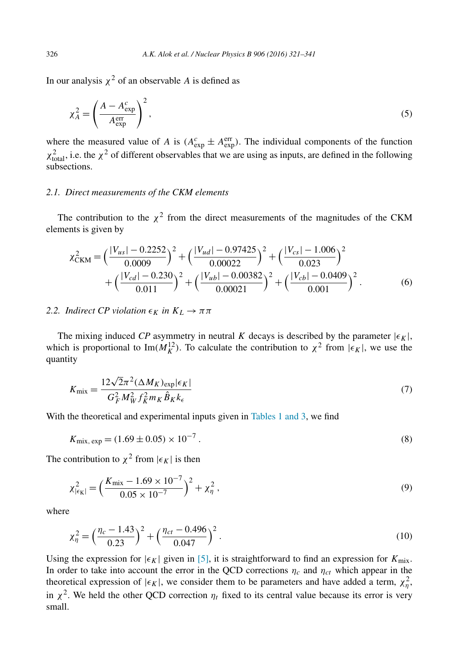In our analysis  $\chi^2$  of an observable A is defined as

$$
\chi_A^2 = \left(\frac{A - A_{\text{exp}}^c}{A_{\text{exp}}^{\text{err}}}\right)^2,\tag{5}
$$

where the measured value of A is  $(A_{exp}^c \pm A_{exp}^{err})$ . The individual components of the function  $\chi^2_{\text{total}}$ , i.e. the  $\chi^2$  of different observables that we are using as inputs, are defined in the following subsections.

#### *2.1. Direct measurements of the CKM elements*

The contribution to the  $\chi^2$  from the direct measurements of the magnitudes of the CKM elements is given by

$$
\chi_{\text{CKM}}^{2} = \left(\frac{|V_{us}| - 0.2252}{0.0009}\right)^{2} + \left(\frac{|V_{ud}| - 0.97425}{0.00022}\right)^{2} + \left(\frac{|V_{cs}| - 1.006}{0.023}\right)^{2} + \left(\frac{|V_{cd}| - 0.230}{0.011}\right)^{2} + \left(\frac{|V_{ub}| - 0.00382}{0.00021}\right)^{2} + \left(\frac{|V_{cb}| - 0.0409}{0.001}\right)^{2}.
$$
\n(6)

### *2.2. Indirect CP violation*  $\epsilon_K$  *in*  $K_L \to \pi \pi$

The mixing induced *CP* asymmetry in neutral *K* decays is described by the parameter  $|\epsilon_K|$ , which is proportional to Im( $M_K^{12}$ ). To calculate the contribution to  $\chi^2$  from  $|\epsilon_K|$ , we use the quantity

$$
K_{\text{mix}} = \frac{12\sqrt{2}\pi^2 (\Delta M_K)_{\text{exp}} |\epsilon_K|}{G_F^2 M_W^2 f_K^2 m_K \hat{B}_K k_\epsilon}
$$
(7)

With the theoretical and experimental inputs given in Tables 1 and 3, we find

$$
K_{\text{mix, exp}} = (1.69 \pm 0.05) \times 10^{-7} \,. \tag{8}
$$

The contribution to  $\chi^2$  from  $|\epsilon_K|$  is then

$$
\chi^2_{|\epsilon_K|} = \left(\frac{K_{\text{mix}} - 1.69 \times 10^{-7}}{0.05 \times 10^{-7}}\right)^2 + \chi^2_{\eta} \,,\tag{9}
$$

where

$$
\chi_{\eta}^{2} = \left(\frac{\eta_c - 1.43}{0.23}\right)^{2} + \left(\frac{\eta_{ct} - 0.496}{0.047}\right)^{2}.
$$
\n(10)

Using the expression for  $|\epsilon_K|$  given in [5], it is straightforward to find an expression for  $K_{\text{mix}}$ . In order to take into account the error in the QCD corrections  $\eta_c$  and  $\eta_{ct}$  which appear in the theoretical expression of  $|\epsilon_K|$ , we consider them to be parameters and have added a term,  $\chi^2_\eta$ , in  $\chi^2$ . We held the other QCD correction  $\eta_t$  fixed to its central value because its error is very small.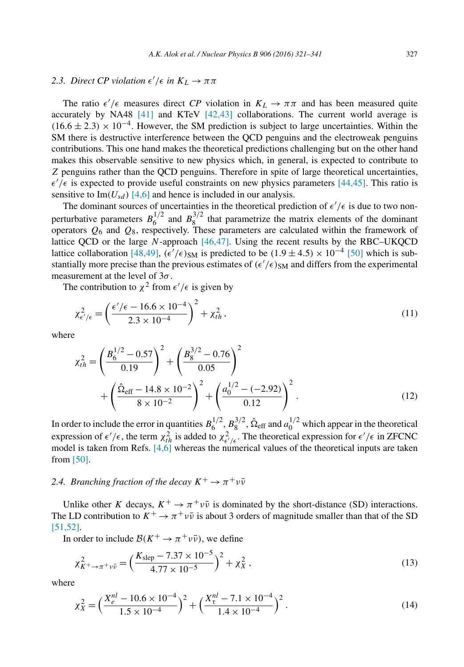## 2.3. *Direct CP violation*  $\epsilon'/\epsilon$  *in*  $K_L \to \pi \pi$

The ratio  $\epsilon'/\epsilon$  measures direct *CP* violation in  $K_L \to \pi \pi$  and has been measured quite accurately by NA48 [41] and KTeV [42,43] collaborations. The current world average is  $(16.6 \pm 2.3) \times 10^{-4}$ . However, the SM prediction is subject to large uncertainties. Within the SM there is destructive interference between the QCD penguins and the electroweak penguins contributions. This one hand makes the theoretical predictions challenging but on the other hand makes this observable sensitive to new physics which, in general, is expected to contribute to Z penguins rather than the QCD penguins. Therefore in spite of large theoretical uncertainties,  $\epsilon'/\epsilon$  is expected to provide useful constraints on new physics parameters [44,45]. This ratio is sensitive to Im( $U_{sd}$ ) [4,6] and hence is included in our analysis.

The dominant sources of uncertainties in the theoretical prediction of  $\epsilon'/\epsilon$  is due to two nonperturbative parameters  $B_6^{1/2}$  $^{1/2}_{6}$  and  $B_8^{3/2}$  $\frac{8}{8}$  that parametrize the matrix elements of the dominant operators  $Q_6$  and  $Q_8$ , respectively. These parameters are calculated within the framework of lattice QCD or the large  $N$ -approach  $[46,47]$ . Using the recent results by the RBC–UKQCD lattice collaboration [48,49],  $(\epsilon'/\epsilon)_{SM}$  is predicted to be  $(1.9 \pm 4.5) \times 10^{-4}$  [50] which is substantially more precise than the previous estimates of  $(\epsilon'/\epsilon)_{SM}$  and differs from the experimental measurement at the level of  $3\sigma$ .

The contribution to  $\chi^2$  from  $\epsilon'/\epsilon$  is given by

$$
\chi_{\epsilon'/\epsilon}^2 = \left(\frac{\epsilon'/\epsilon - 16.6 \times 10^{-4}}{2.3 \times 10^{-4}}\right)^2 + \chi_{th}^2,
$$
\n(11)

where

$$
\chi_{th}^{2} = \left(\frac{B_{6}^{1/2} - 0.57}{0.19}\right)^{2} + \left(\frac{B_{8}^{3/2} - 0.76}{0.05}\right)^{2} + \left(\frac{\hat{\Omega}_{eff} - 14.8 \times 10^{-2}}{8 \times 10^{-2}}\right)^{2} + \left(\frac{a_{0}^{1/2} - (-2.92)}{0.12}\right)^{2}.
$$
\n(12)

In order to include the error in quantities  $B_6^{1/2}$  $a_6^{1/2}, b_8^{3/2}$  $^{3/2}_{8}$ ,  $\hat{\Omega}_{eff}$  and  $a_0^{1/2}$  which appear in the theoretical expression of  $\epsilon'/\epsilon$ , the term  $\chi^2_{th}$  is added to  $\chi^2_{\epsilon'/\epsilon}$ . The theoretical expression for  $\epsilon'/\epsilon$  in ZFCNC model is taken from Refs.  $[4,6]$  whereas the numerical values of the theoretical inputs are taken from [50].

## 2.4. *Branching fraction of the decay*  $K^+ \to \pi^+ \nu \bar{\nu}$

Unlike other K decays,  $K^+ \to \pi^+ \nu \bar{\nu}$  is dominated by the short-distance (SD) interactions. The LD contribution to  $K^+ \to \pi^+ \nu \bar{\nu}$  is about 3 orders of magnitude smaller than that of the SD [51,52].

In order to include  $\mathcal{B}(K^+ \to \pi^+ \nu \bar{\nu})$ , we define

$$
\chi_{K^{+}\to\pi^{+}\nu\bar{\nu}}^{2} = \left(\frac{K_{\text{slep}} - 7.37 \times 10^{-5}}{4.77 \times 10^{-5}}\right)^{2} + \chi_{X}^{2},\tag{13}
$$

where

$$
\chi_X^2 = \left(\frac{X_e^{nl} - 10.6 \times 10^{-4}}{1.5 \times 10^{-4}}\right)^2 + \left(\frac{X_t^{nl} - 7.1 \times 10^{-4}}{1.4 \times 10^{-4}}\right)^2.
$$
\n(14)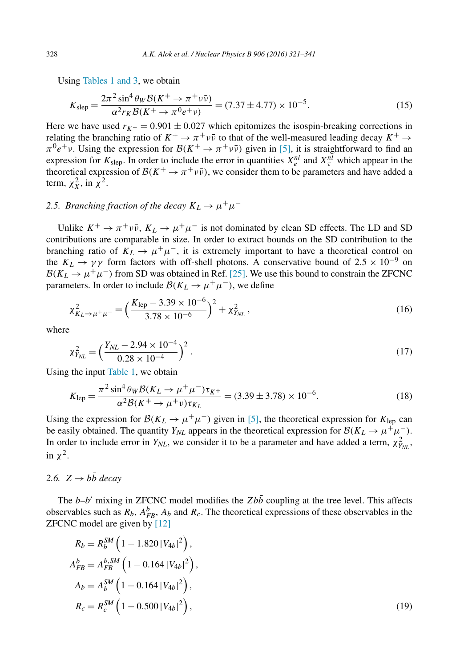Using Tables 1 and 3, we obtain

$$
K_{\rm slep} = \frac{2\pi^2 \sin^4 \theta_W \mathcal{B}(K^+ \to \pi^+ \nu \bar{\nu})}{\alpha^2 r_K \mathcal{B}(K^+ \to \pi^0 e^+ \nu)} = (7.37 \pm 4.77) \times 10^{-5}.
$$
 (15)

Here we have used  $r_{K^+} = 0.901 \pm 0.027$  which epitomizes the isospin-breaking corrections in relating the branching ratio of  $K^+ \to \pi^+ \nu \bar{\nu}$  to that of the well-measured leading decay  $K^+ \to$  $\pi^0 e^+ \nu$ . Using the expression for  $\mathcal{B}(K^+ \to \pi^+ \nu \bar{\nu})$  given in [5], it is straightforward to find an expression for  $K_{\text{sleep}}$ . In order to include the error in quantities  $X_e^{nl}$  and  $X_\tau^{nl}$  which appear in the theoretical expression of  $\mathcal{B}(K^+ \to \pi^+ \nu \bar{\nu})$ , we consider them to be parameters and have added a term,  $\chi_X^2$ , in  $\chi^2$ .

# 2.5. *Branching fraction of the decay*  $K_L \rightarrow \mu^+ \mu^-$

Unlike  $K^+ \to \pi^+ \nu \bar{\nu}$ ,  $K_L \to \mu^+ \mu^-$  is not dominated by clean SD effects. The LD and SD contributions are comparable in size. In order to extract bounds on the SD contribution to the branching ratio of  $K_L \rightarrow \mu^+\mu^-$ , it is extremely important to have a theoretical control on the  $K_L \rightarrow \gamma \gamma$  form factors with off-shell photons. A conservative bound of 2.5 × 10<sup>-9</sup> on  $\mathcal{B}(K_L \to \mu^+\mu^-)$  from SD was obtained in Ref. [25]. We use this bound to constrain the ZFCNC parameters. In order to include  $\mathcal{B}(K_L \to \mu^+ \mu^-)$ , we define

$$
\chi^2_{K_L \to \mu^+ \mu^-} = \left(\frac{K_{\rm lep} - 3.39 \times 10^{-6}}{3.78 \times 10^{-6}}\right)^2 + \chi^2_{Y_{NL}}\,,\tag{16}
$$

where

$$
\chi_{Y_{NL}}^2 = \left(\frac{Y_{NL} - 2.94 \times 10^{-4}}{0.28 \times 10^{-4}}\right)^2.
$$
\n(17)

Using the input Table 1, we obtain

$$
K_{\text{lep}} = \frac{\pi^2 \sin^4 \theta_W \mathcal{B}(K_L \to \mu^+ \mu^-) \tau_{K^+}}{\alpha^2 \mathcal{B}(K^+ \to \mu^+ \nu) \tau_{K_L}} = (3.39 \pm 3.78) \times 10^{-6}.
$$
 (18)

Using the expression for  $\mathcal{B}(K_L \to \mu^+ \mu^-)$  given in [5], the theoretical expression for  $K_{\text{lep}}$  can be easily obtained. The quantity  $Y_{NL}$  appears in the theoretical expression for  $\mathcal{B}(K_L \to \mu^+ \mu^-)$ . In order to include error in  $Y_{NL}$ , we consider it to be a parameter and have added a term,  $\chi^2_{Y_{NL}}$ , in  $\chi^2$ .

### 2.6.  $Z \rightarrow b\bar{b}$  *decay*

The  $b-b'$  mixing in ZFCNC model modifies the Zbb coupling at the tree level. This affects observables such as  $R_b$ ,  $A_{FB}^b$ ,  $A_b$  and  $R_c$ . The theoretical expressions of these observables in the ZFCNC model are given by [12]

$$
R_b = R_b^{SM} \left( 1 - 1.820 \left| V_{4b} \right|^2 \right),
$$
  
\n
$$
A_{FB}^b = A_{FB}^{b,SM} \left( 1 - 0.164 \left| V_{4b} \right|^2 \right),
$$
  
\n
$$
A_b = A_b^{SM} \left( 1 - 0.164 \left| V_{4b} \right|^2 \right),
$$
  
\n
$$
R_c = R_c^{SM} \left( 1 - 0.500 \left| V_{4b} \right|^2 \right),
$$
\n(19)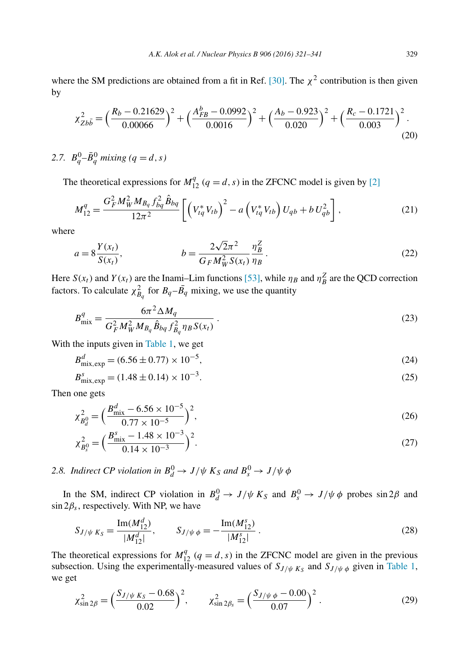where the SM predictions are obtained from a fit in Ref. [30]. The  $\chi^2$  contribution is then given by

$$
\chi_{Zb\bar{b}}^2 = \left(\frac{R_b - 0.21629}{0.00066}\right)^2 + \left(\frac{A_{FB}^b - 0.0992}{0.0016}\right)^2 + \left(\frac{A_b - 0.923}{0.020}\right)^2 + \left(\frac{R_c - 0.1721}{0.003}\right)^2. \tag{20}
$$

2.7.  $B_q^0 - \bar{B}_q^0$  mixing (q = d, s)

The theoretical expressions for  $M_{12}^q$  ( $q = d, s$ ) in the ZFCNC model is given by [2]

$$
M_{12}^{q} = \frac{G_{F}^{2} M_{W}^{2} M_{B_{q}} f_{bq}^{2} \hat{B}_{bq}}{12\pi^{2}} \left[ \left( V_{tq}^{*} V_{tb} \right)^{2} - a \left( V_{tq}^{*} V_{tb} \right) U_{qb} + b U_{qb}^{2} \right],
$$
\n(21)

where

$$
a = 8\frac{Y(x_t)}{S(x_t)}, \qquad b = \frac{2\sqrt{2}\pi^2}{G_F M_W^2 S(x_t)} \frac{\eta_B^Z}{\eta_B}.
$$
 (22)

Here  $S(x_t)$  and  $Y(x_t)$  are the Inami-Lim functions [53], while  $\eta_B$  and  $\eta_B^Z$  are the QCD correction factors. To calculate  $\chi^2_{B_q}$  for  $B_q - \bar{B_q}$  mixing, we use the quantity

$$
B_{\text{mix}}^q = \frac{6\pi^2 \Delta M_q}{G_F^2 M_W^2 M_{B_q} \hat{B}_{bq} f_{B_q}^2 \eta_B S(x_t)}.
$$
 (23)

With the inputs given in Table 1, we get

$$
B_{\text{mix,exp}}^d = (6.56 \pm 0.77) \times 10^{-5},\tag{24}
$$

$$
B_{\text{mix,exp}}^s = (1.48 \pm 0.14) \times 10^{-3}.
$$
\n(25)

Then one gets

$$
\chi_{B_d^0}^2 = \left(\frac{B_{\text{mix}}^d - 6.56 \times 10^{-5}}{0.77 \times 10^{-5}}\right)^2,\tag{26}
$$

$$
\chi_{B_s^0}^2 = \left(\frac{B_{\text{mix}}^s - 1.48 \times 10^{-3}}{0.14 \times 10^{-3}}\right)^2.
$$
\n(27)

2.8. *Indirect CP violation in*  $B_d^0 \rightarrow J/\psi K_S$  *and*  $B_s^0 \rightarrow J/\psi \phi$ 

In the SM, indirect CP violation in  $B_d^0 \to J/\psi K_S$  and  $B_s^0 \to J/\psi \phi$  probes sin 2 $\beta$  and  $\sin 2\beta_s$ , respectively. With NP, we have

$$
S_{J/\psi K_S} = \frac{\operatorname{Im}(M_{12}^d)}{|M_{12}^d|}, \qquad S_{J/\psi \phi} = -\frac{\operatorname{Im}(M_{12}^s)}{|M_{12}^s|}.
$$
 (28)

The theoretical expressions for  $M_{12}^q$  ( $q = d, s$ ) in the ZFCNC model are given in the previous subsection. Using the experimentally-measured values of  $S_{J/\psi K_S}$  and  $S_{J/\psi \phi}$  given in Table 1, we get

$$
\chi_{\sin 2\beta}^2 = \left(\frac{S_{J/\psi K_S} - 0.68}{0.02}\right)^2, \qquad \chi_{\sin 2\beta_S}^2 = \left(\frac{S_{J/\psi \phi} - 0.00}{0.07}\right)^2. \tag{29}
$$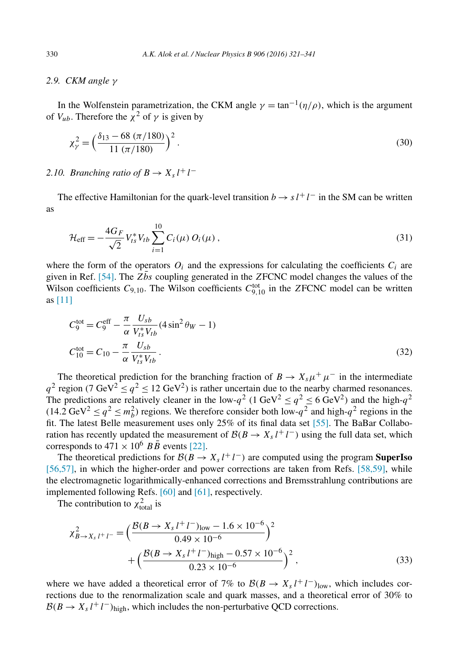### *2.9. CKM angle* γ

In the Wolfenstein parametrization, the CKM angle  $\gamma = \tan^{-1}(\eta/\rho)$ , which is the argument of  $V_{ub}$ . Therefore the  $\chi^2$  of  $\gamma$  is given by

$$
\chi_{\gamma}^{2} = \left(\frac{\delta_{13} - 68 \ (\pi/180)}{11 \ (\pi/180)}\right)^{2}.
$$
\n(30)

# 2.10. *Branching ratio of*  $B \to X_s l^+ l^-$

The effective Hamiltonian for the quark-level transition  $b \to s l^+ l^-$  in the SM can be written as

$$
\mathcal{H}_{\text{eff}} = -\frac{4G_F}{\sqrt{2}} V_{ts}^* V_{tb} \sum_{i=1}^{10} C_i(\mu) O_i(\mu) , \qquad (31)
$$

where the form of the operators  $O_i$  and the expressions for calculating the coefficients  $C_i$  are given in Ref. [54]. The  $Z\bar{b}s$  coupling generated in the ZFCNC model changes the values of the Wilson coefficients  $C_{9,10}$ . The Wilson coefficients  $C_{9,10}^{\text{tot}}$  in the ZFCNC model can be written as [11]

$$
C_9^{\text{tot}} = C_9^{\text{eff}} - \frac{\pi}{\alpha} \frac{U_{sb}}{V_{ts}^* V_{tb}} (4 \sin^2 \theta_W - 1)
$$
  

$$
C_{10}^{\text{tot}} = C_{10} - \frac{\pi}{\alpha} \frac{U_{sb}}{V_{ts}^* V_{tb}}.
$$
 (32)

The theoretical prediction for the branching fraction of  $B \to X_s \mu^+ \mu^-$  in the intermediate  $q^2$  region (7 GeV<sup>2</sup>  $\leq q^2 \leq 12$  GeV<sup>2</sup>) is rather uncertain due to the nearby charmed resonances. The predictions are relatively cleaner in the low- $q^2$  (1 GeV<sup>2</sup>  $\leq q^2 \leq 6$  GeV<sup>2</sup>) and the high- $q^2$  $(14.2 \text{ GeV}^2 \le q^2 \le m_b^2)$  regions. We therefore consider both low- $q^2$  and high- $q^2$  regions in the fit. The latest Belle measurement uses only 25% of its final data set [55]. The BaBar Collaboration has recently updated the measurement of  $\mathcal{B}(B \to X_s l^+ l^-)$  using the full data set, which corresponds to  $471 \times 10^6$   $B\overline{B}$  events [22].

The theoretical predictions for  $B(B \to X_s l^+ l^-)$  are computed using the program **SuperIso** [56,57], in which the higher-order and power corrections are taken from Refs. [58,59], while the electromagnetic logarithmically-enhanced corrections and Bremsstrahlung contributions are implemented following Refs. [60] and [61], respectively.

The contribution to  $\chi^2_{\text{total}}$  is

$$
\chi_{B \to X_s l^+ l^-}^2 = \left(\frac{\mathcal{B}(B \to X_s l^+ l^-)_{\text{low}} - 1.6 \times 10^{-6}}{0.49 \times 10^{-6}}\right)^2 + \left(\frac{\mathcal{B}(B \to X_s l^+ l^-)_{\text{high}} - 0.57 \times 10^{-6}}{0.23 \times 10^{-6}}\right)^2, \tag{33}
$$

where we have added a theoretical error of 7% to  $\mathcal{B}(B \to X_s l^+ l^-)_{\text{low}}$ , which includes corrections due to the renormalization scale and quark masses, and a theoretical error of 30% to  $B(B \to X_s l^+ l^-)_{\text{high}}$ , which includes the non-perturbative QCD corrections.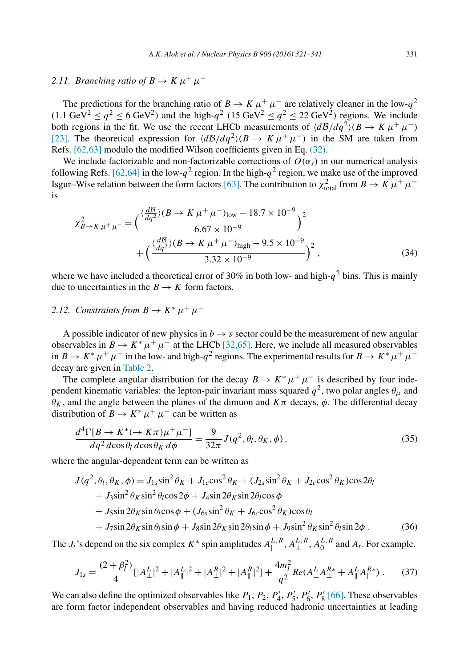# 2.11. *Branching ratio of*  $B \to K \mu^+ \mu^-$

The predictions for the branching ratio of  $B \to K \mu^+ \mu^-$  are relatively cleaner in the low- $q^2$  $(1.1 \text{ GeV}^2 \le q^2 \le 6 \text{ GeV}^2)$  and the high- $q^2$  (15 GeV<sup>2</sup>  $\le q^2 \le 22 \text{ GeV}^2$ ) regions. We include both regions in the fit. We use the recent LHCb measurements of  $\langle d\mathcal{B}/dq^2 \rangle (B \to K \mu^+ \mu^-)$ [23]. The theoretical expression for  $\langle d\mathcal{B}/dq^2 \rangle (B \to K \mu^+ \mu^-)$  in the SM are taken from Refs. [62,63] modulo the modified Wilson coefficients given in Eq. (32).

We include factorizable and non-factorizable corrections of  $O(\alpha_s)$  in our numerical analysis following Refs. [62,64] in the low- $q^2$  region. In the high- $q^2$  region, we make use of the improved Isgur–Wise relation between the form factors [63]. The contribution to  $\chi^2_{\text{total}}$  from  $B \to K \mu^+ \mu^$ is

$$
\chi_{B \to K\,\mu^{+}\,\mu^{-}}^{2} = \left(\frac{\langle \frac{d\mathcal{B}}{dq^{2}} \rangle (B \to K\,\mu^{+}\,\mu^{-})_{\text{low}} - 18.7 \times 10^{-9}}{6.67 \times 10^{-9}}\right)^{2} + \left(\frac{\langle \frac{d\mathcal{B}}{dq^{2}} \rangle (B \to K\,\mu^{+}\,\mu^{-})_{\text{high}} - 9.5 \times 10^{-9}}{3.32 \times 10^{-9}}\right)^{2},\tag{34}
$$

where we have included a theoretical error of 30% in both low- and high- $q^2$  bins. This is mainly due to uncertainties in the  $B \to K$  form factors.

## 2.12. *Constraints from*  $B \to K^* \mu^+ \mu^-$

A possible indicator of new physics in  $b \rightarrow s$  sector could be the measurement of new angular observables in  $B \to K^* \mu^+ \mu^-$  at the LHCb [32,65]. Here, we include all measured observables in  $B \to K^* \mu^+ \mu^-$  in the low- and high- $q^2$  regions. The experimental results for  $B \to K^* \mu^+ \mu^$ decay are given in Table 2.

The complete angular distribution for the decay  $B \to K^* \mu^+ \mu^-$  is described by four independent kinematic variables: the lepton-pair invariant mass squared  $q^2$ , two polar angles  $\theta_{\mu}$  and  $\theta_K$ , and the angle between the planes of the dimuon and  $K\pi$  decays,  $\phi$ . The differential decay distribution of  $B \to K^* \mu^+ \mu^-$  can be written as

$$
\frac{d^4\Gamma[B \to K^*(\to K\pi)\mu^+\mu^-]}{dq^2 d\cos\theta_l d\cos\theta_K d\phi} = \frac{9}{32\pi} J(q^2, \theta_l, \theta_K, \phi),\tag{35}
$$

where the angular-dependent term can be written as

$$
J(q^2, \theta_l, \theta_K, \phi) = J_{1s} \sin^2 \theta_K + J_{1c} \cos^2 \theta_K + (J_{2s} \sin^2 \theta_K + J_{2c} \cos^2 \theta_K) \cos 2\theta_l
$$
  
+ 
$$
J_3 \sin^2 \theta_K \sin^2 \theta_l \cos 2\phi + J_4 \sin 2\theta_K \sin 2\theta_l \cos \phi
$$
  
+ 
$$
J_5 \sin 2\theta_K \sin \theta_l \cos \phi + (J_{6s} \sin^2 \theta_K + J_{6c} \cos^2 \theta_K) \cos \theta_l
$$
  
+ 
$$
J_7 \sin 2\theta_K \sin \theta_l \sin \phi + J_8 \sin 2\theta_K \sin 2\theta_l \sin \phi + J_9 \sin^2 \theta_K \sin^2 \theta_l \sin 2\phi .
$$
 (36)

The  $J_i$ 's depend on the six complex  $K^*$  spin amplitudes  $A_{\parallel}^{L,R}$  $\int_{\parallel}^{L,R}, A_{\perp}^{L,R}$  $\mathcal{L}, R, A_0^{L,R}$  $L^{L,K}$  and  $A_t$ . For example,

$$
J_{1s} = \frac{(2+\beta_l^2)}{4} [|A_\perp^L|^2 + |A_\parallel^L|^2 + |A_\perp^R|^2 + |A_\parallel^R|^2] + \frac{4m_l^2}{q^2} Re(A_\perp^L A_\perp^{R*} + A_\parallel^L A_\parallel^{R*}). \tag{37}
$$

We can also define the optimized observables like  $P_1$ ,  $P_2$ ,  $P'_4$ ,  $P'_5$ ,  $P'_6$ ,  $P'_8$  [66]. These observables are form factor independent observables and having reduced hadronic uncertainties at leading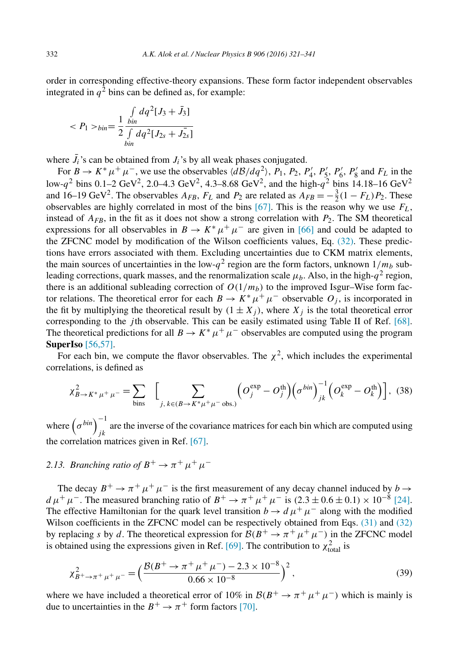order in corresponding effective-theory expansions. These form factor independent observables integrated in  $q^2$  bins can be defined as, for example:

$$
\langle P_1 \rangle_{bin} = \frac{1}{2} \frac{\int_{bin} dq^2 [J_3 + \bar{J}_3]}{\int_{bin} dq^2 [J_{2s} + \bar{J}_{2s}]} =
$$

where  $J_i$ 's can be obtained from  $J_i$ 's by all weak phases conjugated.

For  $B \to K^* \mu^+ \mu^-$ , we use the observables  $\langle d\mathcal{B}/dq^2 \rangle$ ,  $P_1$ ,  $P_2$ ,  $P'_4$ ,  $P'_5$ ,  $P'_6$ ,  $P'_8$  and  $F_L$  in the low- $q^2$  bins 0.1–2 GeV<sup>2</sup>, 2.0–4.3 GeV<sup>2</sup>, 4.3–8.68 GeV<sup>2</sup>, and the high- $q^2$  bins 14.18–16 GeV<sup>2</sup> and 16–19 GeV<sup>2</sup>. The observables  $A_{FB}$ ,  $F_L$  and  $P_2$  are related as  $A_{FB} = -\frac{3}{2}(1 - F_L)P_2$ . These observables are highly correlated in most of the bins [67]. This is the reason why we use  $F_L$ , instead of  $A_{FB}$ , in the fit as it does not show a strong correlation with  $P_2$ . The SM theoretical expressions for all observables in  $B \to K^* \mu^+ \mu^-$  are given in [66] and could be adapted to the ZFCNC model by modification of the Wilson coefficients values, Eq. (32). These predictions have errors associated with them. Excluding uncertainties due to CKM matrix elements, the main sources of uncertainties in the low- $q^2$  region are the form factors, unknown  $1/m_b$  subleading corrections, quark masses, and the renormalization scale  $\mu_b$ . Also, in the high- $q^2$  region, there is an additional subleading correction of  $O(1/m_b)$  to the improved Isgur–Wise form factor relations. The theoretical error for each  $B \to K^* \mu^+ \mu^-$  observable  $O_j$ , is incorporated in the fit by multiplying the theoretical result by  $(1 \pm X_i)$ , where  $X_i$  is the total theoretical error corresponding to the *j*th observable. This can be easily estimated using Table II of Ref. [68]. The theoretical predictions for all  $B \to K^* \mu^+ \mu^-$  observables are computed using the program **SuperIso** [56,57].

For each bin, we compute the flavor observables. The  $\chi^2$ , which includes the experimental correlations, is defined as

$$
\chi_{B \to K^* \mu^+ \mu^-}^2 = \sum_{\text{bins}} \left[ \sum_{j, k \in (B \to K^* \mu^+ \mu^- \text{obs.})} \left( O_j^{\text{exp}} - O_j^{\text{th}} \right) \left( \sigma^{bin} \right)_{jk}^{-1} \left( O_k^{\text{exp}} - O_k^{\text{th}} \right) \right], (38)
$$

where  $(\sigma^{bin})^{-1}$ are the inverse of the covariance matrices for each bin which are computed using  $jk$ the correlation matrices given in Ref. [67].

# 2.13. *Branching ratio of*  $B^+ \to \pi^+ \mu^+ \mu^-$

The decay  $B^+ \to \pi^+ \mu^+ \mu^-$  is the first measurement of any decay channel induced by  $b \to$  $d \mu^+ \mu^-$ . The measured branching ratio of  $B^+ \to \pi^+ \mu^+ \mu^-$  is  $(2.3 \pm 0.6 \pm 0.1) \times 10^{-8}$  [24]. The effective Hamiltonian for the quark level transition  $b \to d \mu^+ \mu^-$  along with the modified Wilson coefficients in the ZFCNC model can be respectively obtained from Eqs. (31) and (32) by replacing s by d. The theoretical expression for  $\mathcal{B}(B^+ \to \pi^+ \mu^+ \mu^-)$  in the ZFCNC model is obtained using the expressions given in Ref. [69]. The contribution to  $\chi^2_{\text{total}}$  is

$$
\chi_{B^+\to\pi^+\mu^+\mu^-}^2 = \left(\frac{\mathcal{B}(B^+\to\pi^+\mu^+\mu^-) - 2.3 \times 10^{-8}}{0.66 \times 10^{-8}}\right)^2,\tag{39}
$$

where we have included a theoretical error of 10% in  $\mathcal{B}(B^+ \to \pi^+ \mu^+ \mu^-)$  which is mainly is due to uncertainties in the  $B^+ \to \pi^+$  form factors [70].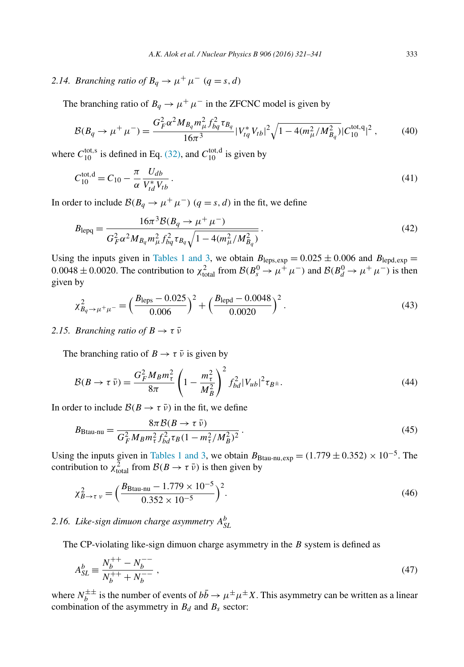2.14. *Branching ratio of*  $B_q \to \mu^+ \mu^ (q = s, d)$ 

The branching ratio of  $B_q \to \mu^+ \mu^-$  in the ZFCNC model is given by

$$
\mathcal{B}(B_q \to \mu^+ \mu^-) = \frac{G_F^2 \alpha^2 M_{B_q} m_\mu^2 f_{bq}^2 \tau_{B_q}}{16\pi^3} |V_{tq}^* V_{tb}|^2 \sqrt{1 - 4(m_\mu^2 / M_{B_q}^2)} |C_{10}^{\text{tot},q}|^2 \,, \tag{40}
$$

where  $C_{10}^{\text{tot,s}}$  is defined in Eq. (32), and  $C_{10}^{\text{tot,d}}$  is given by

$$
C_{10}^{\text{tot,d}} = C_{10} - \frac{\pi}{\alpha} \frac{U_{db}}{V_{td}^* V_{tb}}.
$$
\n(41)

In order to include  $\mathcal{B}(B_q \to \mu^+ \mu^-)$   $(q = s, d)$  in the fit, we define

$$
B_{\text{lepq}} = \frac{16\pi^3 \mathcal{B}(B_q \to \mu^+ \mu^-)}{G_F^2 \alpha^2 M_{B_q} m_\mu^2 f_{bq}^2 \tau_{B_q} \sqrt{1 - 4(m_\mu^2 / M_{B_q}^2)}}.
$$
(42)

Using the inputs given in Tables 1 and 3, we obtain  $B_{\text{leps,exp}} = 0.025 \pm 0.006$  and  $B_{\text{lepd,exp}} =$ 0.0048 ± 0.0020. The contribution to  $\chi^2_{\text{total}}$  from  $\mathcal{B}(B_s^0 \to \mu^+ \mu^-)$  and  $\mathcal{B}(B_d^0 \to \mu^+ \mu^-)$  is then given by

$$
\chi_{B_q \to \mu^+ \mu^-}^2 = \left(\frac{B_{\text{leps}} - 0.025}{0.006}\right)^2 + \left(\frac{B_{\text{lepd}} - 0.0048}{0.0020}\right)^2. \tag{43}
$$

### 2.15. *Branching ratio of*  $B \to \tau \bar{\nu}$

The branching ratio of  $B \to \tau \bar{\nu}$  is given by

$$
\mathcal{B}(B \to \tau \bar{\nu}) = \frac{G_F^2 M_B m_{\tau}^2}{8\pi} \left(1 - \frac{m_{\tau}^2}{M_B^2}\right)^2 f_{bd}^2 |V_{ub}|^2 \tau_{B^{\pm}}.
$$
\n(44)

In order to include  $\mathcal{B}(B \to \tau \bar{\nu})$  in the fit, we define

$$
B_{\text{Btau}} = \frac{8\pi \mathcal{B}(B \to \tau \bar{\nu})}{G_F^2 M_B m_\tau^2 f_{bd}^2 \tau_B (1 - m_\tau^2 / M_B^2)^2} \,. \tag{45}
$$

Using the inputs given in Tables 1 and 3, we obtain  $B_{\text{Btau-nu,exp}} = (1.779 \pm 0.352) \times 10^{-5}$ . The contribution to  $\chi^2_{\text{total}}$  from  $\mathcal{B}(B \to \tau \bar{\nu})$  is then given by

$$
\chi_{B \to \tau \nu}^2 = \left(\frac{B_{\text{Btau}} - 1.779 \times 10^{-5}}{0.352 \times 10^{-5}}\right)^2.
$$
\n(46)

# *2.16. Like-sign dimuon charge asymmetry* A b *SL*

The CP-violating like-sign dimuon charge asymmetry in the  $B$  system is defined as

$$
A_{SL}^b \equiv \frac{N_b^{++} - N_b^{--}}{N_b^{++} + N_b^{--}}\,,\tag{47}
$$

where  $N_b^{\pm\pm}$  is the number of events of  $bb \rightarrow \mu^{\pm} \mu^{\pm} X$ . This asymmetry can be written as a linear combination of the asymmetry in  $B_d$  and  $B_s$  sector: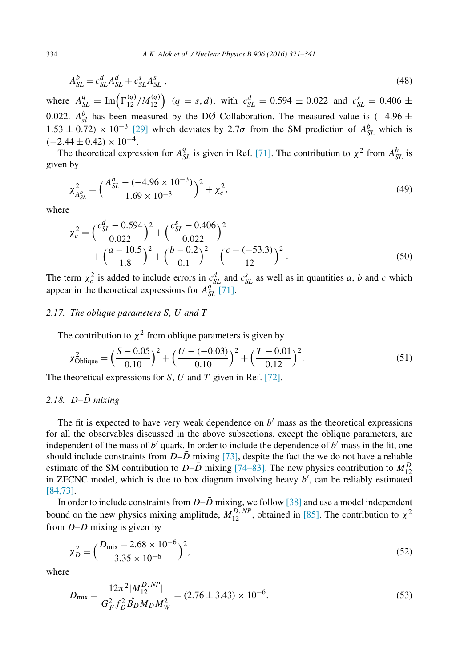$$
A_{SL}^b = c_{SL}^d A_{SL}^d + c_{SL}^s A_{SL}^s \,,\tag{48}
$$

where  $A_{SL}^q = \text{Im}\left(\Gamma_{12}^{(q)}/M_{12}^{(q)}\right)$   $(q = s, d)$ , with  $c_{SL}^d = 0.594 \pm 0.022$  and  $c_{SL}^s = 0.406 \pm 0.022$ 0.022.  $A_{sl}^{b}$  has been measured by the DØ Collaboration. The measured value is (−4.96  $\pm$ 1.53 ± 0.72) × 10<sup>-3</sup> [29] which deviates by 2.7σ from the SM prediction of  $A_{SL}^b$  which is  $(-2.44 \pm 0.42) \times 10^{-4}$ .

The theoretical expression for  $A_{SL}^q$  is given in Ref. [71]. The contribution to  $\chi^2$  from  $A_{SL}^b$  is given by

$$
\chi^2_{A_{SL}^b} = \left(\frac{A_{SL}^b - (-4.96 \times 10^{-3})}{1.69 \times 10^{-3}}\right)^2 + \chi^2_c,\tag{49}
$$

where

$$
\chi_c^2 = \left(\frac{c_{SL}^d - 0.594}{0.022}\right)^2 + \left(\frac{c_{SL}^s - 0.406}{0.022}\right)^2 + \left(\frac{a - 10.5}{1.8}\right)^2 + \left(\frac{b - 0.2}{0.1}\right)^2 + \left(\frac{c - (-53.3)}{12}\right)^2.
$$
\n(50)

The term  $\chi_c^2$  is added to include errors in  $c_{SL}^d$  and  $c_{SL}^s$  as well as in quantities a, b and c which appear in the theoretical expressions for  $A_{SL}^{q}$  [71].

#### *2.17. The oblique parameters* S*,* U *and* T

The contribution to  $\chi^2$  from oblique parameters is given by

$$
\chi_{\text{Oblique}}^2 = \left(\frac{S - 0.05}{0.10}\right)^2 + \left(\frac{U - (-0.03)}{0.10}\right)^2 + \left(\frac{T - 0.01}{0.12}\right)^2. \tag{51}
$$

The theoretical expressions for  $S$ ,  $U$  and  $T$  given in Ref. [72].

### *2.18.* D*–*D¯ *mixing*

The fit is expected to have very weak dependence on  $b'$  mass as the theoretical expressions for all the observables discussed in the above subsections, except the oblique parameters, are independent of the mass of  $b'$  quark. In order to include the dependence of  $b'$  mass in the fit, one should include constraints from  $D-\overline{D}$  mixing [73], despite the fact the we do not have a reliable estimate of the SM contribution to  $D-\overline{D}$  mixing [74–83]. The new physics contribution to  $M_{12}^D$ in ZFCNC model, which is due to box diagram involving heavy  $b'$ , can be reliably estimated [84,73].

In order to include constraints from  $D-\overline{D}$  mixing, we follow [38] and use a model independent bound on the new physics mixing amplitude,  $M_{12}^{D,NP}$ , obtained in [85]. The contribution to  $\chi^2$ from  $D-\overline{D}$  mixing is given by

$$
\chi_D^2 = \left(\frac{D_{\text{mix}} - 2.68 \times 10^{-6}}{3.35 \times 10^{-6}}\right)^2,\tag{52}
$$

where

$$
D_{\text{mix}} = \frac{12\pi^2 |M_{12}^{D, NP}|}{G_F^2 f_D^2 \hat{B_D} M_D M_W^2} = (2.76 \pm 3.43) \times 10^{-6}.
$$
\n
$$
(53)
$$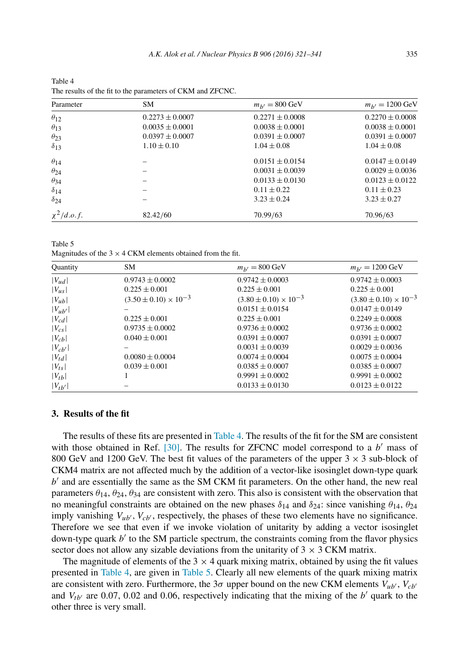| Parameter       | SM.                 | $m_{h'} = 800 \text{ GeV}$ | $m_{h'} = 1200 \text{ GeV}$ |
|-----------------|---------------------|----------------------------|-----------------------------|
| $\theta_{12}$   | $0.2273 \pm 0.0007$ | $0.2271 \pm 0.0008$        | $0.2270 \pm 0.0008$         |
| $\theta_{13}$   | $0.0035 \pm 0.0001$ | $0.0038 \pm 0.0001$        | $0.0038 \pm 0.0001$         |
| $\theta_{23}$   | $0.0397 \pm 0.0007$ | $0.0391 \pm 0.0007$        | $0.0391 \pm 0.0007$         |
| $\delta_{13}$   | $1.10 \pm 0.10$     | $1.04 \pm 0.08$            | $1.04 \pm 0.08$             |
| $\theta_{14}$   |                     | $0.0151 \pm 0.0154$        | $0.0147 \pm 0.0149$         |
| $\theta_{24}$   |                     | $0.0031 \pm 0.0039$        | $0.0029 \pm 0.0036$         |
| $\theta_{34}$   |                     | $0.0133 \pm 0.0130$        | $0.0123 \pm 0.0122$         |
| $\delta_{14}$   |                     | $0.11 \pm 0.22$            | $0.11 \pm 0.23$             |
| $\delta_{24}$   |                     | $3.23 \pm 0.24$            | $3.23 \pm 0.27$             |
| $\chi^2/d.o.f.$ | 82.42/60            | 70.99/63                   | 70.96/63                    |

Table 4 The results of the fit to the parameters of CKM and ZFCNC.

Table 5 Magnitudes of the  $3 \times 4$  CKM elements obtained from the fit.

| Quantity    | SM                               | $m_{h'} = 800 \text{ GeV}$       | $m_{h'} = 1200 \text{ GeV}$      |
|-------------|----------------------------------|----------------------------------|----------------------------------|
| $ V_{ud} $  | $0.9743 \pm 0.0002$              | $0.9742 \pm 0.0003$              | $0.9742 \pm 0.0003$              |
| $ V_{us} $  | $0.225 \pm 0.001$                | $0.225 \pm 0.001$                | $0.225 \pm 0.001$                |
| $ V_{ub} $  | $(3.50 \pm 0.10) \times 10^{-3}$ | $(3.80 \pm 0.10) \times 10^{-3}$ | $(3.80 \pm 0.10) \times 10^{-3}$ |
| $ V_{ub'} $ |                                  | $0.0151 \pm 0.0154$              | $0.0147 \pm 0.0149$              |
| $ V_{cd} $  | $0.225 \pm 0.001$                | $0.225 \pm 0.001$                | $0.2249 \pm 0.0008$              |
| $ V_{cs} $  | $0.9735 \pm 0.0002$              | $0.9736 \pm 0.0002$              | $0.9736 \pm 0.0002$              |
| $ V_{cb} $  | $0.040 \pm 0.001$                | $0.0391 \pm 0.0007$              | $0.0391 \pm 0.0007$              |
| $ V_{cb'} $ |                                  | $0.0031 \pm 0.0039$              | $0.0029 \pm 0.0036$              |
| $ V_{td} $  | $0.0080 \pm 0.0004$              | $0.0074 \pm 0.0004$              | $0.0075 \pm 0.0004$              |
| $ V_{ts} $  | $0.039 \pm 0.001$                | $0.0385 \pm 0.0007$              | $0.0385 \pm 0.0007$              |
| $ V_{tb} $  |                                  | $0.9991 \pm 0.0002$              | $0.9991 + 0.0002$                |
| $ V_{tb'} $ |                                  | $0.0133 \pm 0.0130$              | $0.0123 \pm 0.0122$              |

### **3. Results of the fit**

The results of these fits are presented in Table 4. The results of the fit for the SM are consistent with those obtained in Ref.  $[30]$ . The results for ZFCNC model correspond to a b' mass of 800 GeV and 1200 GeV. The best fit values of the parameters of the upper  $3 \times 3$  sub-block of CKM4 matrix are not affected much by the addition of a vector-like isosinglet down-type quark  $b'$  and are essentially the same as the SM CKM fit parameters. On the other hand, the new real parameters  $\theta_{14}$ ,  $\theta_{24}$ ,  $\theta_{34}$  are consistent with zero. This also is consistent with the observation that no meaningful constraints are obtained on the new phases  $\delta_{14}$  and  $\delta_{24}$ : since vanishing  $\theta_{14}$ ,  $\theta_{24}$ imply vanishing  $V_{\mu\nu}$ ,  $V_{\mu\nu}$ , respectively, the phases of these two elements have no significance. Therefore we see that even if we invoke violation of unitarity by adding a vector isosinglet down-type quark b' to the SM particle spectrum, the constraints coming from the flavor physics sector does not allow any sizable deviations from the unitarity of  $3 \times 3$  CKM matrix.

The magnitude of elements of the  $3 \times 4$  quark mixing matrix, obtained by using the fit values presented in Table 4, are given in Table 5. Clearly all new elements of the quark mixing matrix are consistent with zero. Furthermore, the  $3\sigma$  upper bound on the new CKM elements  $V_{\mu\nu}$ ,  $V_{\alpha\nu'}$ and  $V_{tb'}$  are 0.07, 0.02 and 0.06, respectively indicating that the mixing of the  $b'$  quark to the other three is very small.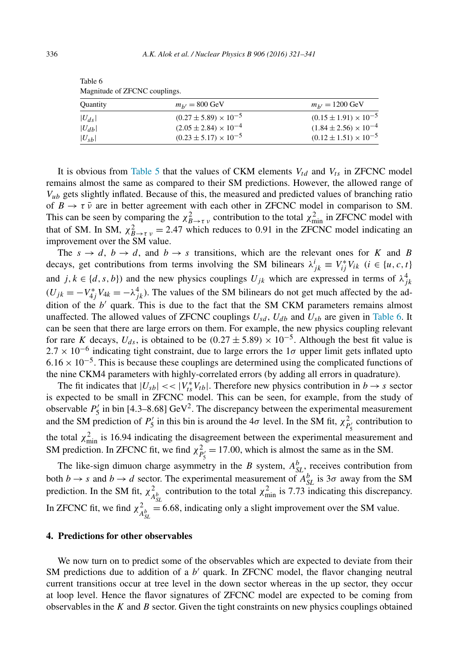| Quantity   | $m_{h'} = 800 \text{ GeV}$       | $m_{b'} = 1200 \text{ GeV}$      |
|------------|----------------------------------|----------------------------------|
| $ U_{ds} $ | $(0.27 \pm 5.89) \times 10^{-5}$ | $(0.15 \pm 1.91) \times 10^{-5}$ |
| $ U_{db} $ | $(2.05 \pm 2.84) \times 10^{-4}$ | $(1.84 \pm 2.56) \times 10^{-4}$ |
| $ U_{sb} $ | $(0.23 \pm 5.17) \times 10^{-5}$ | $(0.12 \pm 1.51) \times 10^{-5}$ |

Table 6 Magnitude of ZFCNC couplings.

It is obvious from Table 5 that the values of CKM elements  $V_{td}$  and  $V_{ts}$  in ZFCNC model remains almost the same as compared to their SM predictions. However, the allowed range of  $V_{ub}$  gets slightly inflated. Because of this, the measured and predicted values of branching ratio of  $B \to \tau \bar{\nu}$  are in better agreement with each other in ZFCNC model in comparison to SM. This can be seen by comparing the  $\chi^2_{B \to \tau \nu}$  contribution to the total  $\chi^2_{min}$  in ZFCNC model with that of SM. In SM,  $\chi^2_{B\to\tau\nu} = 2.47$  which reduces to 0.91 in the ZFCNC model indicating an improvement over the SM value.

The  $s \to d$ ,  $b \to d$ , and  $b \to s$  transitions, which are the relevant ones for K and B decays, get contributions from terms involving the SM bilinears  $\lambda_{jk}^i \equiv V_{ij}^* V_{ik}$  ( $i \in \{u, c, t\}$ ) and  $j, k \in \{d, s, b\}$  and the new physics couplings  $U_{jk}$  which are expressed in terms of  $\lambda_{jk}^4$  $(U_{jk} = -V_{4j}^* V_{4k} = -\lambda_{jk}^4$ ). The values of the SM bilinears do not get much affected by the addition of the  $b'$  quark. This is due to the fact that the SM CKM parameters remains almost unaffected. The allowed values of ZFCNC couplings  $U_{sd}$ ,  $U_{db}$  and  $U_{sb}$  are given in Table 6. It can be seen that there are large errors on them. For example, the new physics coupling relevant for rare K decays,  $U_{ds}$ , is obtained to be  $(0.27 \pm 5.89) \times 10^{-5}$ . Although the best fit value is  $2.7 \times 10^{-6}$  indicating tight constraint, due to large errors the 1 $\sigma$  upper limit gets inflated upto  $6.16 \times 10^{-5}$ . This is because these couplings are determined using the complicated functions of the nine CKM4 parameters with highly-correlated errors (by adding all errors in quadrature).

The fit indicates that  $|U_{sb}| \ll |V_{ts}^* V_{tb}|$ . Therefore new physics contribution in  $b \rightarrow s$  sector is expected to be small in ZFCNC model. This can be seen, for example, from the study of observable  $P'_5$  in bin [4.3–8.68] GeV<sup>2</sup>. The discrepancy between the experimental measurement and the SM prediction of  $P'_5$  in this bin is around the 4 $\sigma$  level. In the SM fit,  $\chi^2_{P'_5}$  contribution to the total  $\chi^2_{\text{min}}$  is 16.94 indicating the disagreement between the experimental measurement and SM prediction. In ZFCNC fit, we find  $\chi^2_{P_5'} = 17.00$ , which is almost the same as in the SM.

The like-sign dimuon charge asymmetry in the B system,  $A_{SL}^b$ , receives contribution from both  $b \to s$  and  $b \to d$  sector. The experimental measurement of  $A_{SL}^b$  is  $3\sigma$  away from the SM prediction. In the SM fit,  $\chi^2$  $\frac{2}{A_{SL}^b}$  contribution to the total  $\chi^2_{min}$  is 7.73 indicating this discrepancy. In ZFCNC fit, we find  $\chi^2$  $\frac{2}{A_{SL}^{b}}$  = 6.68, indicating only a slight improvement over the SM value.

#### **4. Predictions for other observables**

We now turn on to predict some of the observables which are expected to deviate from their SM predictions due to addition of a  $b'$  quark. In ZFCNC model, the flavor changing neutral current transitions occur at tree level in the down sector whereas in the up sector, they occur at loop level. Hence the flavor signatures of ZFCNC model are expected to be coming from observables in the  $K$  and  $B$  sector. Given the tight constraints on new physics couplings obtained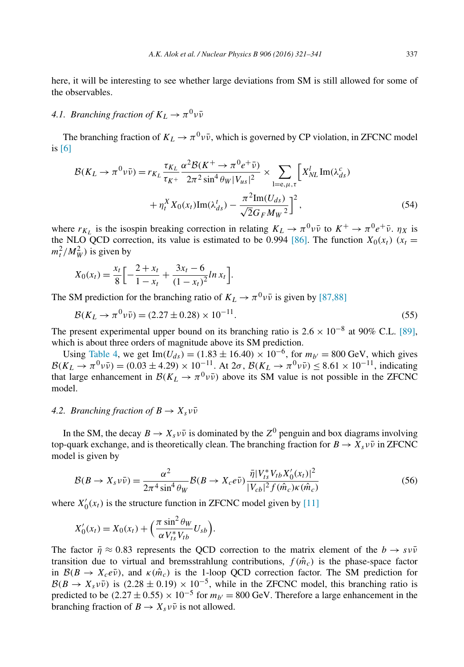here, it will be interesting to see whether large deviations from SM is still allowed for some of the observables.

# 4.1. *Branching fraction of*  $K_L \rightarrow \pi^0 \nu \bar{\nu}$

The branching fraction of  $K_L \to \pi^0 \nu \bar{\nu}$ , which is governed by CP violation, in ZFCNC model is [6]

$$
\mathcal{B}(K_L \to \pi^0 \nu \bar{\nu}) = r_{K_L} \frac{\tau_{K_L}}{\tau_{K^+}} \frac{\alpha^2 \mathcal{B}(K^+ \to \pi^0 e^+ \bar{\nu})}{2\pi^2 \sin^4 \theta_W |V_{us}|^2} \times \sum_{l=e,\mu,\tau} \left[ X_{NL}^l \operatorname{Im}(\lambda_{ds}^c) + \eta_t^X X_0(x_t) \operatorname{Im}(\lambda_{ds}^t) - \frac{\pi^2 \operatorname{Im}(U_{ds})}{\sqrt{2} G_F M_W^2} \right]^2, \tag{54}
$$

where  $r_{K_L}$  is the isospin breaking correction in relating  $K_L \to \pi^0 \nu \bar{\nu}$  to  $K^+ \to \pi^0 e^+ \bar{\nu}$ .  $\eta_X$  is the NLO QCD correction, its value is estimated to be 0.994 [86]. The function  $X_0(x_t)$  ( $x_t =$  $m_t^2/M_W^2$ ) is given by

$$
X_0(x_t) = \frac{x_t}{8} \left[ -\frac{2+x_t}{1-x_t} + \frac{3x_t - 6}{(1-x_t)^2} \ln x_t \right].
$$

The SM prediction for the branching ratio of  $K_L \rightarrow \pi^0 \nu \bar{\nu}$  is given by [87,88]

$$
\mathcal{B}(K_L \to \pi^0 \nu \bar{\nu}) = (2.27 \pm 0.28) \times 10^{-11}.
$$
\n(55)

The present experimental upper bound on its branching ratio is  $2.6 \times 10^{-8}$  at 90% C.L. [89], which is about three orders of magnitude above its SM prediction.

Using Table 4, we get Im( $U_{ds}$ ) = (1.83 ± 16.40) × 10<sup>-6</sup>, for  $m_{b'} = 800$  GeV, which gives  $\mathcal{B}(K_L \to \pi^0 \nu \bar{\nu}) = (0.03 \pm 4.29) \times 10^{-11}$ . At  $2\sigma$ ,  $\mathcal{B}(K_L \to \pi^0 \nu \bar{\nu}) \leq 8.61 \times 10^{-11}$ , indicating that large enhancement in  $\mathcal{B}(K_L \to \pi^0 \nu \bar{\nu})$  above its SM value is not possible in the ZFCNC model.

### *4.2. Branching fraction of*  $B \to X_s v\bar{v}$

In the SM, the decay  $B \to X_s v \bar{v}$  is dominated by the  $Z^0$  penguin and box diagrams involving top-quark exchange, and is theoretically clean. The branching fraction for  $B \to X_s v \bar{v}$  in ZFCNC model is given by

$$
\mathcal{B}(B \to X_s \nu \bar{\nu}) = \frac{\alpha^2}{2\pi^4 \sin^4 \theta_W} \mathcal{B}(B \to X_c e \bar{\nu}) \frac{\bar{\eta} |V_{ts}^* V_{tb} X_0'(x_t)|^2}{|V_{cb}|^2 f(\hat{m}_c) \kappa(\hat{m}_c)} \tag{56}
$$

where  $X'_0(x_t)$  is the structure function in ZFCNC model given by [11]

$$
X'_0(x_t) = X_0(x_t) + \left(\frac{\pi \sin^2 \theta_W}{\alpha V_{ts}^* V_{tb}} U_{sb}\right).
$$

The factor  $\bar{\eta} \approx 0.83$  represents the OCD correction to the matrix element of the  $b \to s \nu \bar{\nu}$ transition due to virtual and bremsstrahlung contributions,  $f(\hat{m}_c)$  is the phase-space factor in  $\mathcal{B}(B \to X_c e \bar{\nu})$ , and  $\kappa(\hat{m}_c)$  is the 1-loop QCD correction factor. The SM prediction for  $\mathcal{B}(B \to X_s \nu \bar{\nu})$  is  $(2.28 \pm 0.19) \times 10^{-5}$ , while in the ZFCNC model, this branching ratio is predicted to be  $(2.27 \pm 0.55) \times 10^{-5}$  for  $m_{b'} = 800$  GeV. Therefore a large enhancement in the branching fraction of  $B \to X_s v\bar{v}$  is not allowed.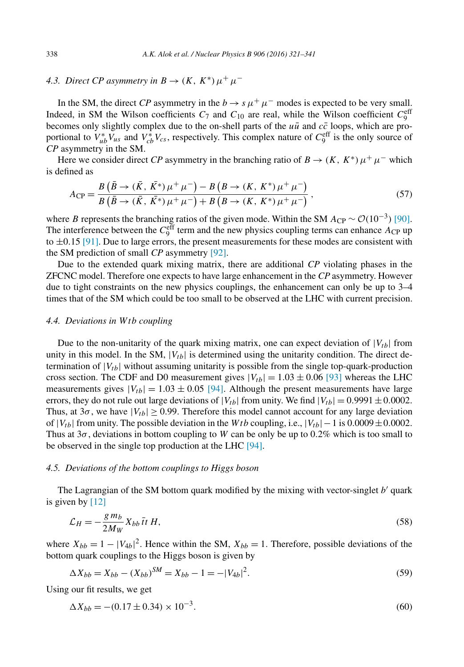# 4.3. *Direct CP asymmetry in*  $B \to (K, K^*) \mu^+ \mu^-$

In the SM, the direct *CP* asymmetry in the  $b \to s \mu^+ \mu^-$  modes is expected to be very small. Indeed, in SM the Wilson coefficients  $C_7$  and  $C_{10}$  are real, while the Wilson coefficient  $C_9^{\text{eff}}$ becomes only slightly complex due to the on-shell parts of the  $u\bar{u}$  and  $c\bar{c}$  loops, which are proportional to  $V_{ub}^* V_{us}$  and  $V_{cb}^* V_{cs}$ , respectively. This complex nature of  $C_9^{\text{eff}}$  is the only source of *CP* asymmetry in the SM.

Here we consider direct *CP* asymmetry in the branching ratio of  $B \to (K, K^*) \mu^+ \mu^-$  which is defined as

$$
A_{\rm CP} = \frac{B(\bar{B} \to (\bar{K}, \bar{K^*})\mu^+\mu^-) - B(B \to (K, K^*)\mu^+\mu^-)}{B(\bar{B} \to (\bar{K}, \bar{K^*})\mu^+\mu^-) + B(B \to (K, K^*)\mu^+\mu^-)},
$$
\n(57)

where B represents the branching ratios of the given mode. Within the SM  $A_{\rm CP} \sim \mathcal{O}(10^{-3})$  [90]. The interference between the  $C_9^{\text{eff}}$  term and the new physics coupling terms can enhance  $A_{\text{CP}}$  up to  $\pm 0.15$  [91]. Due to large errors, the present measurements for these modes are consistent with the SM prediction of small *CP* asymmetry [92].

Due to the extended quark mixing matrix, there are additional *CP* violating phases in the ZFCNC model. Therefore one expects to have large enhancement in the *CP* asymmetry. However due to tight constraints on the new physics couplings, the enhancement can only be up to 3–4 times that of the SM which could be too small to be observed at the LHC with current precision.

#### *4.4. Deviations in* Wtb *coupling*

Due to the non-unitarity of the quark mixing matrix, one can expect deviation of  $|V_{tb}|$  from unity in this model. In the SM,  $|V_{tb}|$  is determined using the unitarity condition. The direct determination of  $|V_{tb}|$  without assuming unitarity is possible from the single top-quark-production cross section. The CDF and D0 measurement gives  $|V_{tb}| = 1.03 \pm 0.06$  [93] whereas the LHC measurements gives  $|V_{tb}| = 1.03 \pm 0.05$  [94]. Although the present measurements have large errors, they do not rule out large deviations of  $|V_{tb}|$  from unity. We find  $|V_{tb}| = 0.9991 \pm 0.0002$ . Thus, at  $3\sigma$ , we have  $|V_{tb}| \ge 0.99$ . Therefore this model cannot account for any large deviation of  $|V_{tb}|$  from unity. The possible deviation in the Wtb coupling, i.e.,  $|V_{tb}|-1$  is 0.0009 ±0.0002. Thus at  $3\sigma$ , deviations in bottom coupling to W can be only be up to 0.2% which is too small to be observed in the single top production at the LHC [94].

#### *4.5. Deviations of the bottom couplings to Higgs boson*

The Lagrangian of the SM bottom quark modified by the mixing with vector-singlet  $b'$  quark is given by [12]

$$
\mathcal{L}_H = -\frac{g m_b}{2M_W} X_{bb} \bar{t} t H,\tag{58}
$$

where  $X_{bb} = 1 - |V_{4b}|^2$ . Hence within the SM,  $X_{bb} = 1$ . Therefore, possible deviations of the bottom quark couplings to the Higgs boson is given by

$$
\Delta X_{bb} = X_{bb} - (X_{bb})^{SM} = X_{bb} - 1 = -|V_{4b}|^2.
$$
\n(59)

Using our fit results, we get

$$
\Delta X_{bb} = -(0.17 \pm 0.34) \times 10^{-3}.
$$
\n(60)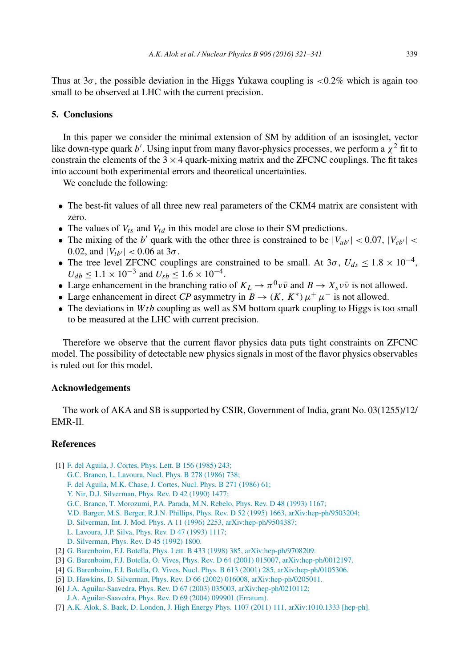Thus at  $3\sigma$ , the possible deviation in the Higgs Yukawa coupling is  $\langle 0.2\%$  which is again too small to be observed at LHC with the current precision.

### **5. Conclusions**

In this paper we consider the minimal extension of SM by addition of an isosinglet, vector like down-type quark b'. Using input from many flavor-physics processes, we perform a  $\chi^2$  fit to constrain the elements of the  $3 \times 4$  quark-mixing matrix and the ZFCNC couplings. The fit takes into account both experimental errors and theoretical uncertainties.

We conclude the following:

- The best-fit values of all three new real parameters of the CKM4 matrix are consistent with zero.
- The values of  $V_{ts}$  and  $V_{td}$  in this model are close to their SM predictions.
- The mixing of the b' quark with the other three is constrained to be  $|V_{ub'}| < 0.07, |V_{cb'}| <$ 0.02, and  $|V_{tb'}|$  < 0.06 at 3 $\sigma$ .
- The tree level ZFCNC couplings are constrained to be small. At  $3\sigma$ ,  $U_{ds} \le 1.8 \times 10^{-4}$ ,  $U_{db} \le 1.1 \times 10^{-3}$  and  $U_{sb} \le 1.6 \times 10^{-4}$ .
- Large enhancement in the branching ratio of  $K_L \to \pi^0 \nu \bar{\nu}$  and  $B \to X_s \nu \bar{\nu}$  is not allowed.
- Large enhancement in direct *CP* asymmetry in  $B \to (K, K^*) \mu^+ \mu^-$  is not allowed.
- The deviations in  $Wtb$  coupling as well as SM bottom quark coupling to Higgs is too small to be measured at the LHC with current precision.

Therefore we observe that the current flavor physics data puts tight constraints on ZFCNC model. The possibility of detectable new physics signals in most of the flavor physics observables is ruled out for this model.

#### **Acknowledgements**

The work of AKA and SB is supported by CSIR, Government of India, grant No. 03(1255)/12/ EMR-II.

### **References**

- [1] F. del Aguila, J. Cortes, *Phys. Lett. B* 156 (1985) 243;
	- G.C. Branco, L. Lavoura, Nucl. Phys. B 278 (1986) 738;
	- F. del Aguila, M.K. Chase, J. Cortes, Nucl. Phys. B 271 (1986) 61;
	- Y. Nir, D.J. Silverman, Phys. Rev. D 42 (1990) 1477;
	- G.C. Branco, T. Morozumi, P.A. Parada, M.N. Rebelo, Phys. Rev. D 48 (1993) 1167;
	- V.D. Barger, M.S. Berger, R.J.N. Phillips, Phys. Rev. D 52 (1995) 1663, arXiv:hep-ph/9503204;
	- D. Silverman, Int. J. Mod. Phys. A 11 (1996) 2253, arXiv:hep-ph/9504387;
	- L. Lavoura, J.P. Silva, Phys. Rev. D 47 (1993) 1117;
	- D. Silverman, Phys. Rev. D 45 (1992) 1800.
- [2] G. Barenboim, F.J. Botella, Phys. Lett. B 433 (1998) 385, arXiv:hep-ph/9708209.
- [3] G. Barenboim, F.J. Botella, O. Vives, Phys. Rev. D 64 (2001) 015007, arXiv:hep-ph/0012197.
- [4] G. Barenboim, F.J. Botella, O. Vives, Nucl. Phys. B 613 (2001) 285, arXiv:hep-ph/0105306.
- [5] D. Hawkins, D. Silverman, Phys. Rev. D 66 (2002) 016008, arXiv:hep-ph/0205011.
- [6] J.A. Aguilar-Saavedra, Phys. Rev. D 67 (2003) 035003, arXiv:hep-ph/0210112; J.A. Aguilar-Saavedra, Phys. Rev. D 69 (2004) 099901 (Erratum).
- [7] A.K. Alok, S. Baek, D. London, J. High Energy Phys. 1107 (2011) 111, arXiv:1010.1333 [hep-ph].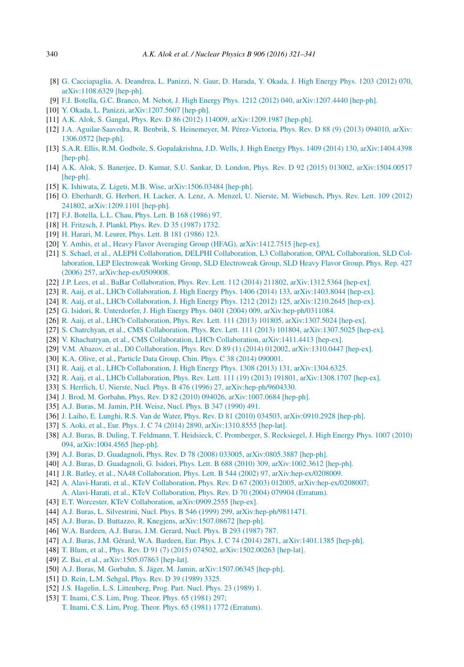- [8] G. Cacciapaglia, A. Deandrea, L. Panizzi, N. Gaur, D. Harada, Y. Okada, J. High Energy Phys. 1203 (2012) 070, arXiv:1108.6329 [hep-ph].
- [9] F.J. Botella, G.C. Branco, M. Nebot, J. High Energy Phys. 1212 (2012) 040, arXiv:1207.4440 [hep-ph].
- [10] Y. Okada, L. Panizzi, arXiv:1207.5607 [hep-ph].
- [11] A.K. Alok, S. Gangal, Phys. Rev. D 86 (2012) 114009, arXiv:1209.1987 [hep-ph].
- [12] J.A. Aguilar-Saavedra, R. Benbrik, S. Heinemeyer, M. Pérez-Victoria, Phys. Rev. D 88 (9) (2013) 094010, arXiv: 1306.0572 [hep-ph].
- [13] S.A.R. Ellis, R.M. Godbole, S. Gopalakrishna, J.D. Wells, J. High Energy Phys. 1409 (2014) 130, arXiv:1404.4398 [hep-ph].
- [14] A.K. Alok, S. Banerjee, D. Kumar, S.U. Sankar, D. London, Phys. Rev. D 92 (2015) 013002, arXiv:1504.00517 [hep-ph].
- [15] K. Ishiwata, Z. Ligeti, M.B. Wise, arXiv:1506.03484 [hep-ph].
- [16] O. Eberhardt, G. Herbert, H. Lacker, A. Lenz, A. Menzel, U. Nierste, M. Wiebusch, Phys. Rev. Lett. 109 (2012) 241802, arXiv:1209.1101 [hep-ph].
- [17] F.J. Botella, L.L. Chau, Phys. Lett. B 168 (1986) 97.
- [18] H. Fritzsch, J. Plankl, Phys. Rev. D 35 (1987) 1732.
- [19] H. Harari, M. Leurer, Phys. Lett. B 181 (1986) 123.
- [20] Y. Amhis, et al., Heavy Flavor Averaging Group (HFAG), arXiv:1412.7515 [hep-ex].
- [21] S. Schael, et al., ALEPH Collaboration, DELPHI Collaboration, L3 Collaboration, OPAL Collaboration, SLD Collaboration, LEP Electroweak Working Group, SLD Electroweak Group, SLD Heavy Flavor Group, Phys. Rep. 427 (2006) 257, arXiv:hep-ex/0509008.
- [22] J.P. Lees, et al., BaBar Collaboration, Phys. Rev. Lett. 112 (2014) 211802, arXiv:1312.5364 [hep-ex].
- [23] R. Aaij, et al., LHCb Collaboration, J. High Energy Phys. 1406 (2014) 133, arXiv:1403.8044 [hep-ex].
- [24] R. Aaij, et al., LHCb Collaboration, J. High Energy Phys. 1212 (2012) 125, arXiv:1210.2645 [hep-ex].
- [25] G. Isidori, R. Unterdorfer, J. High Energy Phys. 0401 (2004) 009, arXiv:hep-ph/0311084.
- [26] R. Aaij, et al., LHCb Collaboration, Phys. Rev. Lett. 111 (2013) 101805, arXiv:1307.5024 [hep-ex].
- [27] S. Chatrchyan, et al., CMS Collaboration, Phys. Rev. Lett. 111 (2013) 101804, arXiv:1307.5025 [hep-ex].
- [28] V. Khachatryan, et al., CMS Collaboration, LHCb Collaboration, arXiv:1411.4413 [hep-ex].
- [29] V.M. Abazov, et al., D0 Collaboration, Phys. Rev. D 89 (1) (2014) 012002, arXiv:1310.0447 [hep-ex].
- [30] K.A. Olive, et al., Particle Data Group, Chin. Phys. C 38 (2014) 090001.
- [31] R. Aaij, et al., LHCb Collaboration, J. High Energy Phys. 1308 (2013) 131, arXiv:1304.6325.
- [32] R. Aaij, et al., LHCb Collaboration, Phys. Rev. Lett. 111 (19) (2013) 191801, arXiv:1308.1707 [hep-ex].
- [33] S. Herrlich, U. Nierste, Nucl. Phys. B 476 (1996) 27, arXiv:hep-ph/9604330.
- [34] J. Brod, M. Gorbahn, Phys. Rev. D 82 (2010) 094026, arXiv:1007.0684 [hep-ph].
- [35] A.J. Buras, M. Jamin, P.H. Weisz, Nucl. Phys. B 347 (1990) 491.
- [36] J. Laiho, E. Lunghi, R.S. Van de Water, Phys. Rev. D 81 (2010) 034503, arXiv:0910.2928 [hep-ph].
- [37] S. Aoki, et al., Eur. Phys. J. C 74 (2014) 2890, arXiv:1310.8555 [hep-lat].
- [38] A.J. Buras, B. Duling, T. Feldmann, T. Heidsieck, C. Promberger, S. Recksiegel, J. High Energy Phys. 1007 (2010) 094, arXiv:1004.4565 [hep-ph].
- [39] A.J. Buras, D. Guadagnoli, Phys. Rev. D 78 (2008) 033005, arXiv:0805.3887 [hep-ph].
- [40] A.J. Buras, D. Guadagnoli, G. Isidori, Phys. Lett. B 688 (2010) 309, arXiv:1002.3612 [hep-ph].
- [41] J.R. Batley, et al., NA48 Collaboration, Phys. Lett. B 544 (2002) 97, arXiv:hep-ex/0208009.
- [42] A. Alavi-Harati, et al., KTeV Collaboration, Phys. Rev. D 67 (2003) 012005, arXiv:hep-ex/0208007;
- A. Alavi-Harati, et al., KTeV Collaboration, Phys. Rev. D 70 (2004) 079904 (Erratum).
- [43] E.T. Worcester, KTeV Collaboration, arXiv:0909.2555 [hep-ex].
- [44] A.J. Buras, L. Silvestrini, Nucl. Phys. B 546 (1999) 299, arXiv:hep-ph/9811471.
- [45] A.J. Buras, D. Buttazzo, R. Knegjens, arXiv:1507.08672 [hep-ph].
- [46] W.A. Bardeen, A.J. Buras, J.M. Gerard, Nucl. Phys. B 293 (1987) 787.
- [47] A.J. Buras, J.M. Gérard, W.A. Bardeen, Eur. Phys. J. C 74 (2014) 2871, arXiv:1401.1385 [hep-ph].
- [48] T. Blum, et al., Phys. Rev. D 91 (7) (2015) 074502, arXiv:1502.00263 [hep-lat].
- [49] Z. Bai, et al., arXiv:1505.07863 [hep-lat].
- [50] A.J. Buras, M. Gorbahn, S. Jäger, M. Jamin, arXiv:1507.06345 [hep-ph].
- [51] D. Rein, L.M. Sehgal, Phys. Rev. D 39 (1989) 3325.
- [52] J.S. Hagelin, L.S. Littenberg, Prog. Part. Nucl. Phys. 23 (1989) 1.
- [53] T. Inami, C.S. Lim, Prog. Theor. Phys. 65 (1981) 297;
	- T. Inami, C.S. Lim, Prog. Theor. Phys. 65 (1981) 1772 (Erratum).